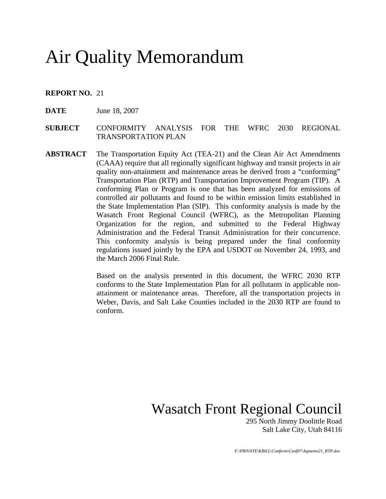# Air Quality Memorandum

### **REPORT NO.** 21

- **DATE** June 18, 2007
- **SUBJECT** CONFORMITY ANALYSIS FOR THE WFRC 2030 REGIONAL TRANSPORTATION PLAN
- **ABSTRACT** The Transportation Equity Act (TEA-21) and the Clean Air Act Amendments (CAAA) require that all regionally significant highway and transit projects in air quality non-attainment and maintenance areas be derived from a "conforming" Transportation Plan (RTP) and Transportation Improvement Program (TIP). A conforming Plan or Program is one that has been analyzed for emissions of controlled air pollutants and found to be within emission limits established in the State Implementation Plan (SIP). This conformity analysis is made by the Wasatch Front Regional Council (WFRC), as the Metropolitan Planning Organization for the region, and submitted to the Federal Highway Administration and the Federal Transit Administration for their concurrence. This conformity analysis is being prepared under the final conformity regulations issued jointly by the EPA and USDOT on November 24, 1993, and the March 2006 Final Rule.

Based on the analysis presented in this document, the WFRC 2030 RTP conforms to the State Implementation Plan for all pollutants in applicable nonattainment or maintenance areas. Therefore, all the transportation projects in Weber, Davis, and Salt Lake Counties included in the 2030 RTP are found to conform.

Wasatch Front Regional Council

 295 North Jimmy Doolittle Road Salt Lake City, Utah 84116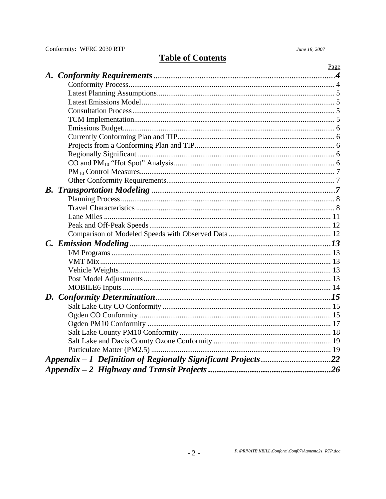Conformity: WFRC 2030 RTP

June 18, 2007

### **Table of Contents**

|  | Page |
|--|------|
|  |      |
|  |      |
|  |      |
|  |      |
|  |      |
|  |      |
|  |      |
|  |      |
|  |      |
|  |      |
|  |      |
|  |      |
|  |      |
|  |      |
|  |      |
|  |      |
|  |      |
|  |      |
|  |      |
|  |      |
|  |      |
|  |      |
|  |      |
|  |      |
|  |      |
|  |      |
|  |      |
|  |      |
|  |      |
|  |      |
|  |      |
|  |      |
|  |      |
|  |      |
|  |      |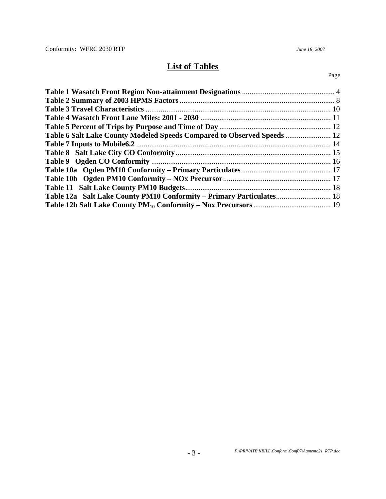## **List of Tables**

#### Page

| Table 6 Salt Lake County Modeled Speeds Compared to Observed Speeds  12 |  |
|-------------------------------------------------------------------------|--|
|                                                                         |  |
|                                                                         |  |
|                                                                         |  |
|                                                                         |  |
|                                                                         |  |
|                                                                         |  |
| Table 12a Salt Lake County PM10 Conformity – Primary Particulates 18    |  |
|                                                                         |  |
|                                                                         |  |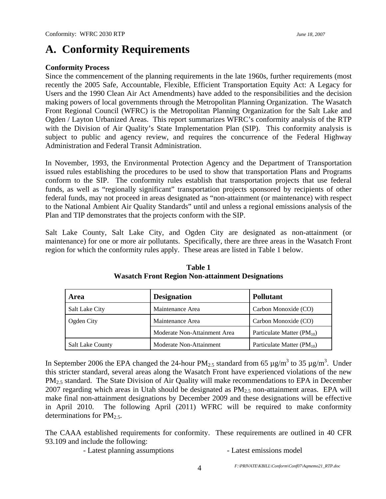## **A. Conformity Requirements**

### **Conformity Process**

Since the commencement of the planning requirements in the late 1960s, further requirements (most recently the 2005 Safe, Accountable, Flexible, Efficient Transportation Equity Act: A Legacy for Users and the 1990 Clean Air Act Amendments) have added to the responsibilities and the decision making powers of local governments through the Metropolitan Planning Organization. The Wasatch Front Regional Council (WFRC) is the Metropolitan Planning Organization for the Salt Lake and Ogden / Layton Urbanized Areas. This report summarizes WFRC's conformity analysis of the RTP with the Division of Air Quality's State Implementation Plan (SIP). This conformity analysis is subject to public and agency review, and requires the concurrence of the Federal Highway Administration and Federal Transit Administration.

In November, 1993, the Environmental Protection Agency and the Department of Transportation issued rules establishing the procedures to be used to show that transportation Plans and Programs conform to the SIP. The conformity rules establish that transportation projects that use federal funds, as well as "regionally significant" transportation projects sponsored by recipients of other federal funds, may not proceed in areas designated as "non-attainment (or maintenance) with respect to the National Ambient Air Quality Standards" until and unless a regional emissions analysis of the Plan and TIP demonstrates that the projects conform with the SIP.

Salt Lake County, Salt Lake City, and Ogden City are designated as non-attainment (or maintenance) for one or more air pollutants. Specifically, there are three areas in the Wasatch Front region for which the conformity rules apply. These areas are listed in Table 1 below.

| Area                    | <b>Designation</b>           | <b>Pollutant</b>               |  |
|-------------------------|------------------------------|--------------------------------|--|
| <b>Salt Lake City</b>   | Maintenance Area             | Carbon Monoxide (CO)           |  |
| Ogden City              | Maintenance Area             | Carbon Monoxide (CO)           |  |
|                         | Moderate Non-Attainment Area | Particulate Matter $(PM_{10})$ |  |
| <b>Salt Lake County</b> | Moderate Non-Attainment      | Particulate Matter $(PM_{10})$ |  |

### **Table 1 Wasatch Front Region Non-attainment Designations**

In September 2006 the EPA changed the 24-hour PM<sub>2.5</sub> standard from 65  $\mu$ g/m<sup>3</sup> to 35  $\mu$ g/m<sup>3</sup>. Under this stricter standard, several areas along the Wasatch Front have experienced violations of the new PM<sub>2.5</sub> standard. The State Division of Air Quality will make recommendations to EPA in December 2007 regarding which areas in Utah should be designated as  $PM_{2.5}$  non-attainment areas. EPA will make final non-attainment designations by December 2009 and these designations will be effective in April 2010. The following April (2011) WFRC will be required to make conformity determinations for  $PM<sub>2.5</sub>$ .

The CAAA established requirements for conformity. These requirements are outlined in 40 CFR 93.109 and include the following:

- Latest planning assumptions - Latest emissions model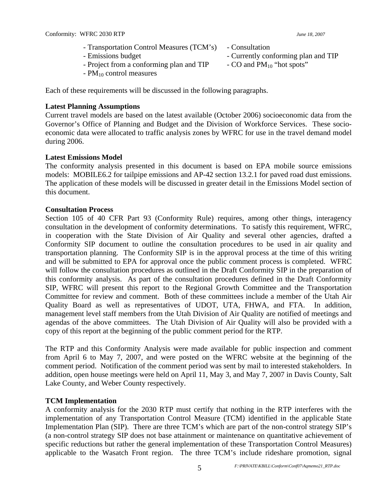- Transportation Control Measures (TCM's) Consultation - Emissions budget  $\blacksquare$
- 
- Project from a conforming plan and TIP  $\sim$  CO and PM<sub>10</sub> "hot spots"
- $-$  PM<sub>10</sub> control measures

Each of these requirements will be discussed in the following paragraphs.

### **Latest Planning Assumptions**

Current travel models are based on the latest available (October 2006) socioeconomic data from the Governor's Office of Planning and Budget and the Division of Workforce Services. These socioeconomic data were allocated to traffic analysis zones by WFRC for use in the travel demand model during 2006.

### **Latest Emissions Model**

The conformity analysis presented in this document is based on EPA mobile source emissions models: MOBILE6.2 for tailpipe emissions and AP-42 section 13.2.1 for paved road dust emissions. The application of these models will be discussed in greater detail in the Emissions Model section of this document.

### **Consultation Process**

Section 105 of 40 CFR Part 93 (Conformity Rule) requires, among other things, interagency consultation in the development of conformity determinations. To satisfy this requirement, WFRC, in cooperation with the State Division of Air Quality and several other agencies, drafted a Conformity SIP document to outline the consultation procedures to be used in air quality and transportation planning. The Conformity SIP is in the approval process at the time of this writing and will be submitted to EPA for approval once the public comment process is completed. WFRC will follow the consultation procedures as outlined in the Draft Conformity SIP in the preparation of this conformity analysis. As part of the consultation procedures defined in the Draft Conformity SIP, WFRC will present this report to the Regional Growth Committee and the Transportation Committee for review and comment. Both of these committees include a member of the Utah Air Quality Board as well as representatives of UDOT, UTA, FHWA, and FTA. In addition, management level staff members from the Utah Division of Air Quality are notified of meetings and agendas of the above committees. The Utah Division of Air Quality will also be provided with a copy of this report at the beginning of the public comment period for the RTP.

The RTP and this Conformity Analysis were made available for public inspection and comment from April 6 to May 7, 2007, and were posted on the WFRC website at the beginning of the comment period. Notification of the comment period was sent by mail to interested stakeholders. In addition, open house meetings were held on April 11, May 3, and May 7, 2007 in Davis County, Salt Lake County, and Weber County respectively.

### **TCM Implementation**

A conformity analysis for the 2030 RTP must certify that nothing in the RTP interferes with the implementation of any Transportation Control Measure (TCM) identified in the applicable State Implementation Plan (SIP). There are three TCM's which are part of the non-control strategy SIP's (a non-control strategy SIP does not base attainment or maintenance on quantitative achievement of specific reductions but rather the general implementation of these Transportation Control Measures) applicable to the Wasatch Front region. The three TCM's include rideshare promotion, signal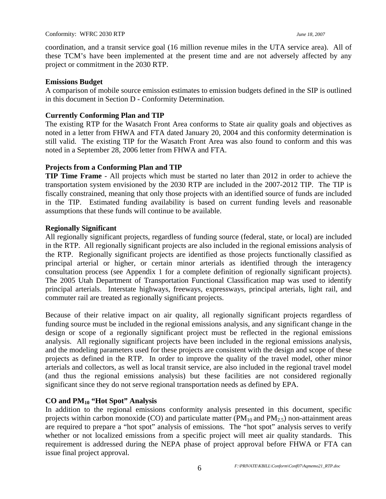coordination, and a transit service goal (16 million revenue miles in the UTA service area). All of these TCM's have been implemented at the present time and are not adversely affected by any project or commitment in the 2030 RTP.

### **Emissions Budget**

A comparison of mobile source emission estimates to emission budgets defined in the SIP is outlined in this document in Section D - Conformity Determination.

### **Currently Conforming Plan and TIP**

The existing RTP for the Wasatch Front Area conforms to State air quality goals and objectives as noted in a letter from FHWA and FTA dated January 20, 2004 and this conformity determination is still valid. The existing TIP for the Wasatch Front Area was also found to conform and this was noted in a September 28, 2006 letter from FHWA and FTA.

### **Projects from a Conforming Plan and TIP**

**TIP Time Frame** - All projects which must be started no later than 2012 in order to achieve the transportation system envisioned by the 2030 RTP are included in the 2007-2012 TIP. The TIP is fiscally constrained, meaning that only those projects with an identified source of funds are included in the TIP. Estimated funding availability is based on current funding levels and reasonable assumptions that these funds will continue to be available.

### **Regionally Significant**

All regionally significant projects, regardless of funding source (federal, state, or local) are included in the RTP. All regionally significant projects are also included in the regional emissions analysis of the RTP. Regionally significant projects are identified as those projects functionally classified as principal arterial or higher, or certain minor arterials as identified through the interagency consultation process (see Appendix 1 for a complete definition of regionally significant projects). The 2005 Utah Department of Transportation Functional Classification map was used to identify principal arterials. Interstate highways, freeways, expressways, principal arterials, light rail, and commuter rail are treated as regionally significant projects.

Because of their relative impact on air quality, all regionally significant projects regardless of funding source must be included in the regional emissions analysis, and any significant change in the design or scope of a regionally significant project must be reflected in the regional emissions analysis. All regionally significant projects have been included in the regional emissions analysis, and the modeling parameters used for these projects are consistent with the design and scope of these projects as defined in the RTP. In order to improve the quality of the travel model, other minor arterials and collectors, as well as local transit service, are also included in the regional travel model (and thus the regional emissions analysis) but these facilities are not considered regionally significant since they do not serve regional transportation needs as defined by EPA.

### **CO and PM10 "Hot Spot" Analysis**

In addition to the regional emissions conformity analysis presented in this document, specific projects within carbon monoxide (CO) and particulate matter (PM<sub>10</sub> and PM<sub>2.5</sub>) non-attainment areas are required to prepare a "hot spot" analysis of emissions. The "hot spot" analysis serves to verify whether or not localized emissions from a specific project will meet air quality standards. This requirement is addressed during the NEPA phase of project approval before FHWA or FTA can issue final project approval.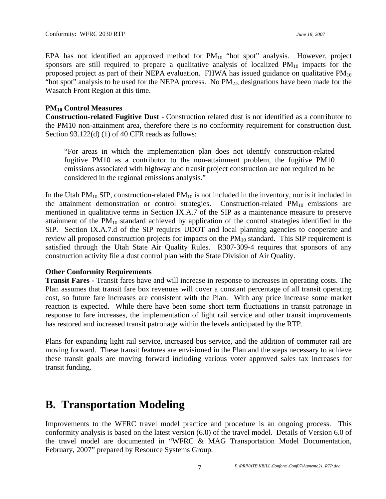EPA has not identified an approved method for  $PM_{10}$  "hot spot" analysis. However, project sponsors are still required to prepare a qualitative analysis of localized  $PM_{10}$  impacts for the proposed project as part of their NEPA evaluation. FHWA has issued guidance on qualitative  $PM_{10}$ "hot spot" analysis to be used for the NEPA process. No  $PM<sub>2.5</sub>$  designations have been made for the Wasatch Front Region at this time.

### **PM10 Control Measures**

**Construction-related Fugitive Dust** - Construction related dust is not identified as a contributor to the PM10 non-attainment area, therefore there is no conformity requirement for construction dust. Section 93.122(d) (1) of 40 CFR reads as follows:

"For areas in which the implementation plan does not identify construction-related fugitive PM10 as a contributor to the non-attainment problem, the fugitive PM10 emissions associated with highway and transit project construction are not required to be considered in the regional emissions analysis."

In the Utah  $PM_{10}$  SIP, construction-related  $PM_{10}$  is not included in the inventory, nor is it included in the attainment demonstration or control strategies. Construction-related  $PM_{10}$  emissions are mentioned in qualitative terms in Section IX.A.7 of the SIP as a maintenance measure to preserve attainment of the  $PM_{10}$  standard achieved by application of the control strategies identified in the SIP. Section IX.A.7.d of the SIP requires UDOT and local planning agencies to cooperate and review all proposed construction projects for impacts on the  $PM_{10}$  standard. This SIP requirement is satisfied through the Utah State Air Quality Rules. R307-309-4 requires that sponsors of any construction activity file a dust control plan with the State Division of Air Quality.

### **Other Conformity Requirements**

**Transit Fares -** Transit fares have and will increase in response to increases in operating costs. The Plan assumes that transit fare box revenues will cover a constant percentage of all transit operating cost, so future fare increases are consistent with the Plan. With any price increase some market reaction is expected. While there have been some short term fluctuations in transit patronage in response to fare increases, the implementation of light rail service and other transit improvements has restored and increased transit patronage within the levels anticipated by the RTP.

Plans for expanding light rail service, increased bus service, and the addition of commuter rail are moving forward. These transit features are envisioned in the Plan and the steps necessary to achieve these transit goals are moving forward including various voter approved sales tax increases for transit funding.

## **B. Transportation Modeling**

Improvements to the WFRC travel model practice and procedure is an ongoing process. This conformity analysis is based on the latest version (6.0) of the travel model. Details of Version 6.0 of the travel model are documented in "WFRC & MAG Transportation Model Documentation, February, 2007" prepared by Resource Systems Group.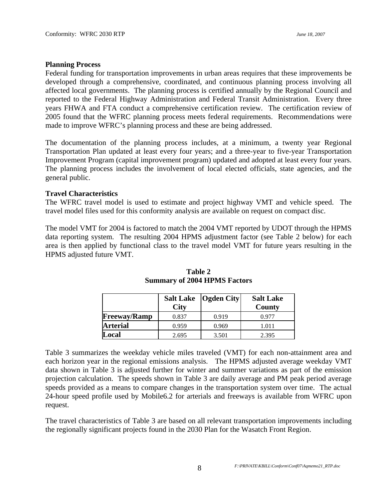#### **Planning Process**

Federal funding for transportation improvements in urban areas requires that these improvements be developed through a comprehensive, coordinated, and continuous planning process involving all affected local governments. The planning process is certified annually by the Regional Council and reported to the Federal Highway Administration and Federal Transit Administration. Every three years FHWA and FTA conduct a comprehensive certification review. The certification review of 2005 found that the WFRC planning process meets federal requirements. Recommendations were made to improve WFRC's planning process and these are being addressed.

The documentation of the planning process includes, at a minimum, a twenty year Regional Transportation Plan updated at least every four years; and a three-year to five-year Transportation Improvement Program (capital improvement program) updated and adopted at least every four years. The planning process includes the involvement of local elected officials, state agencies, and the general public.

### **Travel Characteristics**

The WFRC travel model is used to estimate and project highway VMT and vehicle speed. The travel model files used for this conformity analysis are available on request on compact disc.

The model VMT for 2004 is factored to match the 2004 VMT reported by UDOT through the HPMS data reporting system. The resulting 2004 HPMS adjustment factor (see Table 2 below) for each area is then applied by functional class to the travel model VMT for future years resulting in the HPMS adjusted future VMT.

|                     | <b>City</b> | Salt Lake   Ogden City | <b>Salt Lake</b><br>County |
|---------------------|-------------|------------------------|----------------------------|
| <b>Freeway/Ramp</b> | 0.837       | 0.919                  | 0.977                      |
| <b>Arterial</b>     | 0.959       | 0.969                  | 1.011                      |
| Local               | 2.695       | 3.501                  | 2.395                      |

**Table 2 Summary of 2004 HPMS Factors**

Table 3 summarizes the weekday vehicle miles traveled (VMT) for each non-attainment area and each horizon year in the regional emissions analysis. The HPMS adjusted average weekday VMT data shown in Table 3 is adjusted further for winter and summer variations as part of the emission projection calculation. The speeds shown in Table 3 are daily average and PM peak period average speeds provided as a means to compare changes in the transportation system over time. The actual 24-hour speed profile used by Mobile6.2 for arterials and freeways is available from WFRC upon request.

The travel characteristics of Table 3 are based on all relevant transportation improvements including the regionally significant projects found in the 2030 Plan for the Wasatch Front Region.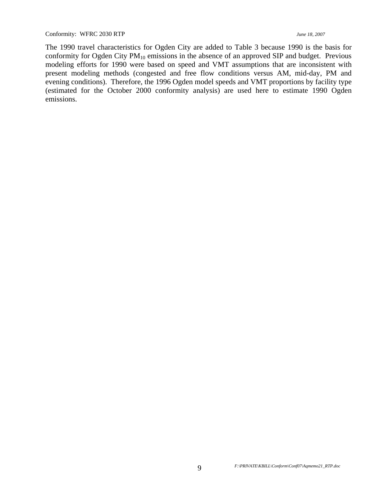The 1990 travel characteristics for Ogden City are added to Table 3 because 1990 is the basis for conformity for Ogden City  $PM_{10}$  emissions in the absence of an approved SIP and budget. Previous modeling efforts for 1990 were based on speed and VMT assumptions that are inconsistent with present modeling methods (congested and free flow conditions versus AM, mid-day, PM and evening conditions). Therefore, the 1996 Ogden model speeds and VMT proportions by facility type (estimated for the October 2000 conformity analysis) are used here to estimate 1990 Ogden emissions.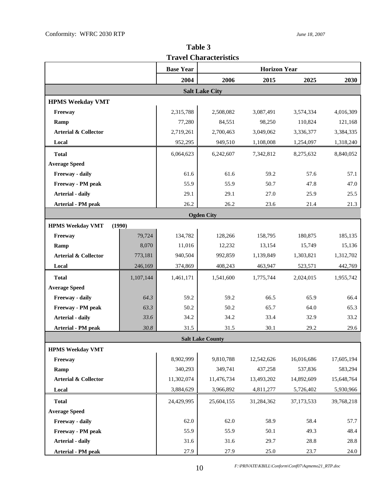**Table 3 Travel Characteristics** 

|                                 |           | <b>Base Year</b> | <b>Horizon Year</b>     |            |            |            |
|---------------------------------|-----------|------------------|-------------------------|------------|------------|------------|
|                                 |           | 2004             | 2006                    | 2015       | 2025       | 2030       |
|                                 |           |                  | <b>Salt Lake City</b>   |            |            |            |
| <b>HPMS Weekday VMT</b>         |           |                  |                         |            |            |            |
| Freeway                         |           | 2,315,788        | 2,508,082               | 3,087,491  | 3,574,334  | 4,016,309  |
| Ramp                            |           | 77,280           | 84,551                  | 98,250     | 110,824    | 121,168    |
| <b>Arterial &amp; Collector</b> |           | 2,719,261        | 2,700,463               | 3,049,062  | 3,336,377  | 3,384,335  |
| Local                           |           | 952,295          | 949,510                 | 1,108,008  | 1,254,097  | 1,318,240  |
| <b>Total</b>                    |           | 6,064,623        | 6,242,607               | 7,342,812  | 8,275,632  | 8,840,052  |
| <b>Average Speed</b>            |           |                  |                         |            |            |            |
| Freeway - daily                 |           | 61.6             | 61.6                    | 59.2       | 57.6       | 57.1       |
| Freeway - PM peak               |           | 55.9             | 55.9                    | 50.7       | 47.8       | 47.0       |
| <b>Arterial - daily</b>         |           | 29.1             | 29.1                    | 27.0       | 25.9       | 25.5       |
| Arterial - PM peak              |           | 26.2             | 26.2                    | 23.6       | 21.4       | 21.3       |
|                                 |           |                  | <b>Ogden City</b>       |            |            |            |
| <b>HPMS Weekday VMT</b>         | (1990)    |                  |                         |            |            |            |
| Freeway                         | 79,724    | 134,782          | 128,266                 | 158,795    | 180,875    | 185,135    |
| Ramp                            | 8,070     | 11,016           | 12,232                  | 13,154     | 15,749     | 15,136     |
| <b>Arterial &amp; Collector</b> | 773,181   | 940,504          | 992,859                 | 1,139,849  | 1,303,821  | 1,312,702  |
| Local                           | 246,169   | 374,869          | 408,243                 | 463,947    | 523,571    | 442,769    |
| <b>Total</b>                    | 1,107,144 | 1,461,171        | 1,541,600               | 1,775,744  | 2,024,015  | 1,955,742  |
| <b>Average Speed</b>            |           |                  |                         |            |            |            |
| Freeway - daily                 | 64.3      | 59.2             | 59.2                    | 66.5       | 65.9       | 66.4       |
| Freeway - PM peak               | 63.3      | 50.2             | 50.2                    | 65.7       | 64.0       | 65.3       |
| <b>Arterial - daily</b>         | 33.6      | 34.2             | 34.2                    | 33.4       | 32.9       | 33.2       |
| Arterial - PM peak              | 30.8      | 31.5             | 31.5                    | 30.1       | 29.2       | 29.6       |
|                                 |           |                  | <b>Salt Lake County</b> |            |            |            |
| <b>HPMS Weekday VMT</b>         |           |                  |                         |            |            |            |
| Freeway                         |           | 8,902,999        | 9,810,788               | 12,542,626 | 16,016,686 | 17,605,194 |
| Ramp                            |           | 340,293          | 349,741                 | 437,258    | 537,836    | 583,294    |
| <b>Arterial &amp; Collector</b> |           | 11,302,074       | 11,476,734              | 13,493,202 | 14,892,609 | 15,648,764 |
| Local                           |           | 3,884,629        | 3,966,892               | 4,811,277  | 5,726,402  | 5,930,966  |
| <b>Total</b>                    |           | 24,429,995       | 25,604,155              | 31,284,362 | 37,173,533 | 39,768,218 |
| <b>Average Speed</b>            |           |                  |                         |            |            |            |
| Freeway - daily                 |           | 62.0             | 62.0                    | 58.9       | 58.4       | 57.7       |
| Freeway - PM peak               |           | 55.9             | 55.9                    | 50.1       | 49.3       | 48.4       |
| Arterial - daily                |           | 31.6             | 31.6                    | 29.7       | 28.8       | 28.8       |
| <b>Arterial - PM peak</b>       |           | 27.9             | 27.9                    | 25.0       | 23.7       | 24.0       |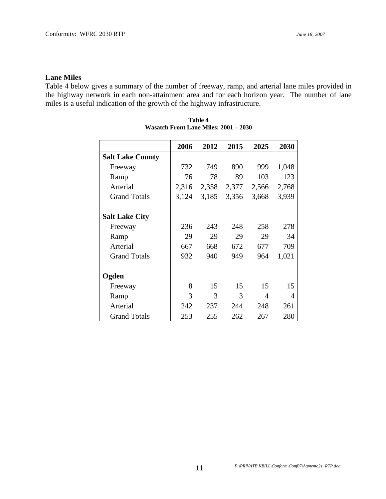### **Lane Miles**

Table 4 below gives a summary of the number of freeway, ramp, and arterial lane miles provided in the highway network in each non-attainment area and for each horizon year. The number of lane miles is a useful indication of the growth of the highway infrastructure.

|                         | 2006  | 2012  | 2015  | 2025  | 2030                     |
|-------------------------|-------|-------|-------|-------|--------------------------|
| <b>Salt Lake County</b> |       |       |       |       |                          |
| Freeway                 | 732   | 749   | 890   | 999   | 1,048                    |
| Ramp                    | 76    | 78    | 89    | 103   | 123                      |
| Arterial                | 2,316 | 2,358 | 2,377 | 2,566 | 2,768                    |
| <b>Grand Totals</b>     | 3,124 | 3,185 | 3,356 | 3,668 | 3,939                    |
| <b>Salt Lake City</b>   |       |       |       |       |                          |
| Freeway                 | 236   | 243   | 248   | 258   | 278                      |
| Ramp                    | 29    | 29    | 29    | 29    | 34                       |
| Arterial                | 667   | 668   | 672   | 677   | 709                      |
| <b>Grand Totals</b>     | 932   | 940   | 949   | 964   | 1,021                    |
| Ogden                   |       |       |       |       |                          |
| Freeway                 | 8     | 15    | 15    | 15    | 15                       |
| Ramp                    | 3     | 3     | 3     | 4     | $\overline{\mathcal{A}}$ |
| Arterial                | 242   | 237   | 244   | 248   | 261                      |
| <b>Grand Totals</b>     | 253   | 255   | 262   | 267   | 280                      |

| Table 4                               |  |  |  |  |  |
|---------------------------------------|--|--|--|--|--|
| Wasatch Front Lane Miles: 2001 – 2030 |  |  |  |  |  |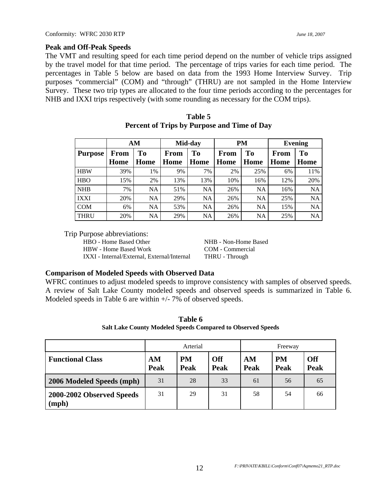#### **Peak and Off-Peak Speeds**

The VMT and resulting speed for each time period depend on the number of vehicle trips assigned by the travel model for that time period. The percentage of trips varies for each time period. The percentages in Table 5 below are based on data from the 1993 Home Interview Survey. Trip purposes "commercial" (COM) and "through" (THRU) are not sampled in the Home Interview Survey. These two trip types are allocated to the four time periods according to the percentages for NHB and IXXI trips respectively (with some rounding as necessary for the COM trips).

|                |             | AM             |             | Mid-day        |      | <b>PM</b>      |      | <b>Evening</b> |
|----------------|-------------|----------------|-------------|----------------|------|----------------|------|----------------|
| <b>Purpose</b> | <b>From</b> | T <sub>0</sub> | <b>From</b> | T <sub>0</sub> | From | T <sub>0</sub> | From | T <sub>0</sub> |
|                | Home        | Home           | Home        | Home           | Home | Home           | Home | Home           |
| <b>HBW</b>     | 39%         | 1%             | 9%          | 7%             | 2%   | 25%            | 6%   | 11%            |
| <b>HBO</b>     | 15%         | 2%             | 13%         | 13%            | 10%  | 16%            | 12%  | 20%            |
| <b>NHB</b>     | 7%          | NA             | 51%         | <b>NA</b>      | 26%  | <b>NA</b>      | 16%  | NA             |
| <b>IXXI</b>    | 20%         | NA             | 29%         | <b>NA</b>      | 26%  | <b>NA</b>      | 25%  | NA             |
| <b>COM</b>     | 6%          | NA             | 53%         | <b>NA</b>      | 26%  | <b>NA</b>      | 15%  | <b>NA</b>      |
| <b>THRU</b>    | 20%         | NA             | 29%         | NA             | 26%  | NA             | 25%  | NA             |

| Table 5                                            |
|----------------------------------------------------|
| <b>Percent of Trips by Purpose and Time of Day</b> |

Trip Purpose abbreviations:

HBO - Home Based Other NHB - Non-Home Based HBW - Home Based Work COM - Commercial IXXI - Internal/External, External/Internal THRU - Through

### **Comparison of Modeled Speeds with Observed Data**

WFRC continues to adjust modeled speeds to improve consistency with samples of observed speeds. A review of Salt Lake County modeled speeds and observed speeds is summarized in Table 6. Modeled speeds in Table 6 are within  $+/-7\%$  of observed speeds.

**Table 6 Salt Lake County Modeled Speeds Compared to Observed Speeds** 

|                                    | Arterial   |                   |                    | Freeway    |                   |                           |
|------------------------------------|------------|-------------------|--------------------|------------|-------------------|---------------------------|
| <b>Functional Class</b>            | AM<br>Peak | <b>PM</b><br>Peak | <b>Off</b><br>Peak | AM<br>Peak | <b>PM</b><br>Peak | <b>Off</b><br><b>Peak</b> |
| 2006 Modeled Speeds (mph)          | 31         | 28                | 33                 | 61         | 56                | 65                        |
| 2000-2002 Observed Speeds<br>(mph) | 31         | 29                | 31                 | 58         | 54                | 66                        |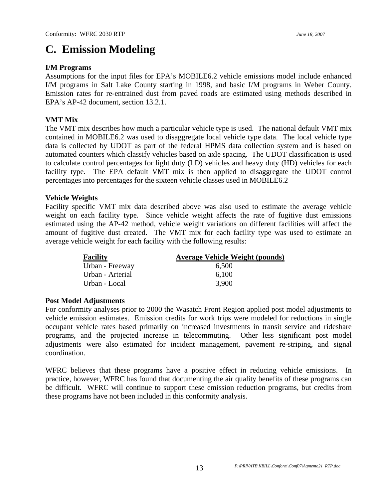## **C. Emission Modeling**

### **I/M Programs**

Assumptions for the input files for EPA's MOBILE6.2 vehicle emissions model include enhanced I/M programs in Salt Lake County starting in 1998, and basic I/M programs in Weber County. Emission rates for re-entrained dust from paved roads are estimated using methods described in EPA's AP-42 document, section 13.2.1.

### **VMT Mix**

The VMT mix describes how much a particular vehicle type is used. The national default VMT mix contained in MOBILE6.2 was used to disaggregate local vehicle type data. The local vehicle type data is collected by UDOT as part of the federal HPMS data collection system and is based on automated counters which classify vehicles based on axle spacing. The UDOT classification is used to calculate control percentages for light duty (LD) vehicles and heavy duty (HD) vehicles for each facility type. The EPA default VMT mix is then applied to disaggregate the UDOT control percentages into percentages for the sixteen vehicle classes used in MOBILE6.2

### **Vehicle Weights**

Facility specific VMT mix data described above was also used to estimate the average vehicle weight on each facility type. Since vehicle weight affects the rate of fugitive dust emissions estimated using the AP-42 method, vehicle weight variations on different facilities will affect the amount of fugitive dust created. The VMT mix for each facility type was used to estimate an average vehicle weight for each facility with the following results:

| <b>Facility</b>  | <b>Average Vehicle Weight (pounds)</b> |
|------------------|----------------------------------------|
| Urban - Freeway  | 6,500                                  |
| Urban - Arterial | 6,100                                  |
| Urban - Local    | 3,900                                  |

### **Post Model Adjustments**

For conformity analyses prior to 2000 the Wasatch Front Region applied post model adjustments to vehicle emission estimates. Emission credits for work trips were modeled for reductions in single occupant vehicle rates based primarily on increased investments in transit service and rideshare programs, and the projected increase in telecommuting. Other less significant post model adjustments were also estimated for incident management, pavement re-striping, and signal coordination.

WFRC believes that these programs have a positive effect in reducing vehicle emissions. In practice, however, WFRC has found that documenting the air quality benefits of these programs can be difficult. WFRC will continue to support these emission reduction programs, but credits from these programs have not been included in this conformity analysis.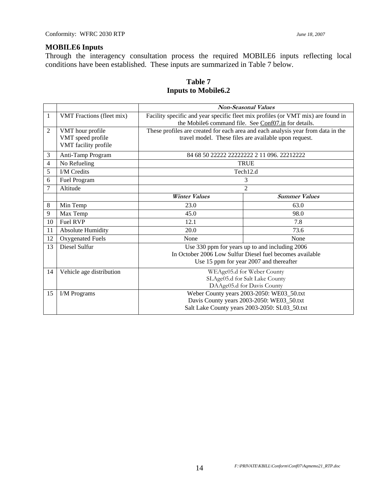### **MOBILE6 Inputs**

Through the interagency consultation process the required MOBILE6 inputs reflecting local conditions have been established. These inputs are summarized in Table 7 below.

|                |                           | <b>Non-Seasonal Values</b>                                                       |                                                                                  |  |  |  |
|----------------|---------------------------|----------------------------------------------------------------------------------|----------------------------------------------------------------------------------|--|--|--|
| 1              | VMT Fractions (fleet mix) | Facility specific and year specific fleet mix profiles (or VMT mix) are found in |                                                                                  |  |  |  |
|                |                           | the Mobile6 command file. See Conf07.in for details.                             |                                                                                  |  |  |  |
| 2              | VMT hour profile          |                                                                                  | These profiles are created for each area and each analysis year from data in the |  |  |  |
|                | VMT speed profile         |                                                                                  | travel model. These files are available upon request.                            |  |  |  |
|                | VMT facility profile      |                                                                                  |                                                                                  |  |  |  |
| 3              | Anti-Tamp Program         |                                                                                  | 84 68 50 22222 22222222 2 11 096, 22212222                                       |  |  |  |
| $\overline{4}$ | No Refueling              |                                                                                  | <b>TRUE</b>                                                                      |  |  |  |
| 5              | <b>I/M</b> Credits        |                                                                                  | Tech12.d                                                                         |  |  |  |
| 6              | Fuel Program              |                                                                                  | 3                                                                                |  |  |  |
| 7              | Altitude                  | $\overline{2}$                                                                   |                                                                                  |  |  |  |
|                |                           | <b>Winter Values</b>                                                             | <b>Summer Values</b>                                                             |  |  |  |
| 8              | Min Temp                  | 23.0                                                                             | 63.0                                                                             |  |  |  |
| 9              | Max Temp                  | 45.0                                                                             | 98.0                                                                             |  |  |  |
| 10             | Fuel RVP                  | 12.1                                                                             | 7.8                                                                              |  |  |  |
| 11             | <b>Absolute Humidity</b>  | 20.0                                                                             | 73.6                                                                             |  |  |  |
| 12             | Oxygenated Fuels          | None                                                                             | None                                                                             |  |  |  |
| 13             | Diesel Sulfur             |                                                                                  | Use 330 ppm for years up to and including 2006                                   |  |  |  |
|                |                           |                                                                                  | In October 2006 Low Sulfur Diesel fuel becomes available                         |  |  |  |
|                |                           | Use 15 ppm for year 2007 and thereafter                                          |                                                                                  |  |  |  |
| 14             | Vehicle age distribution  | WEAge05.d for Weber County                                                       |                                                                                  |  |  |  |
|                |                           | SLAge05.d for Salt Lake County                                                   |                                                                                  |  |  |  |
|                |                           | DAAge05.d for Davis County                                                       |                                                                                  |  |  |  |
| 15             | I/M Programs              | Weber County years 2003-2050: WE03_50.txt                                        |                                                                                  |  |  |  |
|                |                           |                                                                                  | Davis County years 2003-2050: WE03_50.txt                                        |  |  |  |
|                |                           |                                                                                  | Salt Lake County years 2003-2050: SL03_50.txt                                    |  |  |  |

### **Table 7 Inputs to Mobile6.2**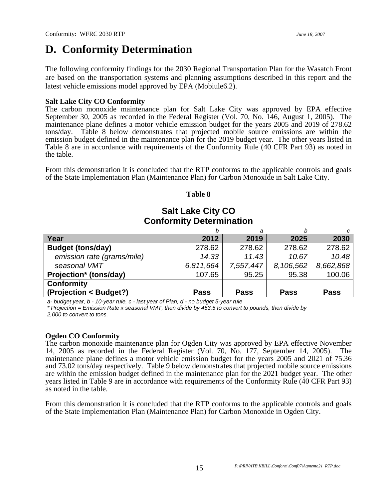## **D. Conformity Determination**

The following conformity findings for the 2030 Regional Transportation Plan for the Wasatch Front are based on the transportation systems and planning assumptions described in this report and the latest vehicle emissions model approved by EPA (Mobiule6.2).

### **Salt Lake City CO Conformity**

The carbon monoxide maintenance plan for Salt Lake City was approved by EPA effective September 30, 2005 as recorded in the Federal Register (Vol. 70, No. 146, August 1, 2005). The maintenance plane defines a motor vehicle emission budget for the years 2005 and 2019 of 278.62 tons/day. Table 8 below demonstrates that projected mobile source emissions are within the emission budget defined in the maintenance plan for the 2019 budget year. The other years listed in Table 8 are in accordance with requirements of the Conformity Rule (40 CFR Part 93) as noted in the table.

From this demonstration it is concluded that the RTP conforms to the applicable controls and goals of the State Implementation Plan (Maintenance Plan) for Carbon Monoxide in Salt Lake City.

### **Table 8**

### **Salt Lake City CO Conformity Determination**

|                            |             | а           |             |             |
|----------------------------|-------------|-------------|-------------|-------------|
| Year                       | 2012        | 2019        | 2025        | 2030        |
| <b>Budget (tons/day)</b>   | 278.62      | 278.62      | 278.62      | 278.62      |
| emission rate (grams/mile) | 14.33       | 11.43       | 10.67       | 10.48       |
| seasonal VMT               | 6,811,664   | 7,557,447   | 8,106,562   | 8,662,868   |
| Projection* (tons/day)     | 107.65      | 95.25       | 95.38       | 100.06      |
| <b>Conformity</b>          |             |             |             |             |
| (Projection < Budget?)     | <b>Pass</b> | <b>Pass</b> | <b>Pass</b> | <b>Pass</b> |

*a- budget year, b - 10-year rule, c - last year of Plan, d - no budget 5-year rule* 

*\* Projection = Emission Rate x seasonal VMT, then divide by 453.5 to convert to pounds, then divide by 2,000 to convert to tons.* 

### **Ogden CO Conformity**

The carbon monoxide maintenance plan for Ogden City was approved by EPA effective November 14, 2005 as recorded in the Federal Register (Vol. 70, No. 177, September 14, 2005). The maintenance plane defines a motor vehicle emission budget for the years 2005 and 2021 of 75.36 and 73.02 tons/day respectively. Table 9 below demonstrates that projected mobile source emissions are within the emission budget defined in the maintenance plan for the 2021 budget year. The other years listed in Table 9 are in accordance with requirements of the Conformity Rule (40 CFR Part 93) as noted in the table.

From this demonstration it is concluded that the RTP conforms to the applicable controls and goals of the State Implementation Plan (Maintenance Plan) for Carbon Monoxide in Ogden City.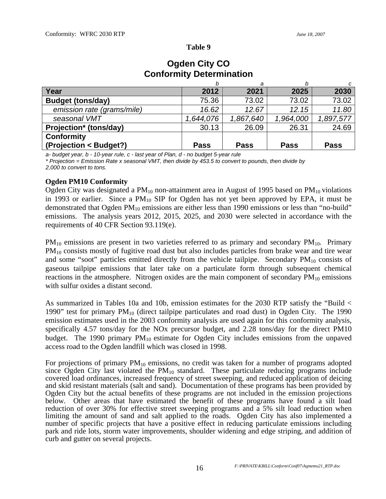#### **Table 9**

|                            |             | а           |             |             |
|----------------------------|-------------|-------------|-------------|-------------|
| Year                       | 2012        | 2021        | 2025        | 2030        |
| <b>Budget (tons/day)</b>   | 75.36       | 73.02       | 73.02       | 73.02       |
| emission rate (grams/mile) | 16.62       | 12.67       | 12.15       | 11.80       |
| seasonal VMT               | 1,644,076   | 1,867,640   | 1,964,000   | 1,897,577   |
| Projection* (tons/day)     | 30.13       | 26.09       | 26.31       | 24.69       |
| <b>Conformity</b>          |             |             |             |             |
| (Projection < Budget?)     | <b>Pass</b> | <b>Pass</b> | <b>Pass</b> | <b>Pass</b> |

### **Ogden City CO Conformity Determination**

*a- budget year, b - 10-year rule, c - last year of Plan, d - no budget 5-year rule* 

*\* Projection = Emission Rate x seasonal VMT, then divide by 453.5 to convert to pounds, then divide by 2,000 to convert to tons.* 

### **Ogden PM10 Conformity**

Ogden City was designated a  $PM_{10}$  non-attainment area in August of 1995 based on  $PM_{10}$  violations in 1993 or earlier. Since a  $PM_{10}$  SIP for Ogden has not yet been approved by EPA, it must be demonstrated that Ogden  $PM_{10}$  emissions are either less than 1990 emissions or less than "no-build" emissions. The analysis years 2012, 2015, 2025, and 2030 were selected in accordance with the requirements of 40 CFR Section 93.119(e).

 $PM_{10}$  emissions are present in two varieties referred to as primary and secondary  $PM_{10}$ . Primary PM<sub>10</sub> consists mostly of fugitive road dust but also includes particles from brake wear and tire wear and some "soot" particles emitted directly from the vehicle tailpipe. Secondary  $PM_{10}$  consists of gaseous tailpipe emissions that later take on a particulate form through subsequent chemical reactions in the atmosphere. Nitrogen oxides are the main component of secondary  $PM_{10}$  emissions with sulfur oxides a distant second.

As summarized in Tables 10a and 10b, emission estimates for the 2030 RTP satisfy the "Build < 1990" test for primary  $PM_{10}$  (direct tailpipe particulates and road dust) in Ogden City. The 1990 emission estimates used in the 2003 conformity analysis are used again for this conformity analysis, specifically 4.57 tons/day for the NOx precursor budget, and 2.28 tons/day for the direct PM10 budget. The 1990 primary  $PM_{10}$  estimate for Ogden City includes emissions from the unpaved access road to the Ogden landfill which was closed in 1998.

For projections of primary  $PM_{10}$  emissions, no credit was taken for a number of programs adopted since Ogden City last violated the  $PM_{10}$  standard. These particulate reducing programs include covered load ordinances, increased frequency of street sweeping, and reduced application of deicing and skid resistant materials (salt and sand). Documentation of these programs has been provided by Ogden City but the actual benefits of these programs are not included in the emission projections below. Other areas that have estimated the benefit of these programs have found a silt load reduction of over 30% for effective street sweeping programs and a 5% silt load reduction when limiting the amount of sand and salt applied to the roads. Ogden City has also implemented a number of specific projects that have a positive effect in reducing particulate emissions including park and ride lots, storm water improvements, shoulder widening and edge striping, and addition of curb and gutter on several projects.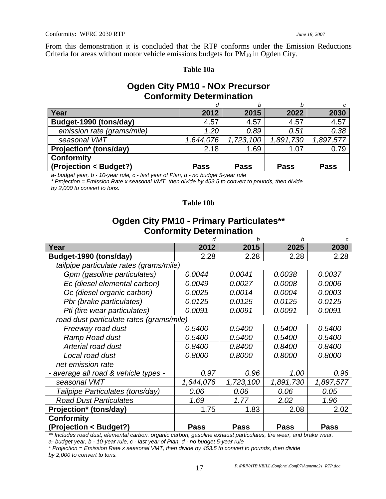From this demonstration it is concluded that the RTP conforms under the Emission Reductions Criteria for areas without motor vehicle emissions budgets for  $PM_{10}$  in Ogden City.

#### **Table 10a**

### **Ogden City PM10 - NOx Precursor Conformity Determination**

|                            |             | b           |             |             |
|----------------------------|-------------|-------------|-------------|-------------|
| Year                       | 2012        | 2015        | 2022        | 2030        |
| Budget-1990 (tons/day)     | 4.57        | 4.57        | 4.57        | 4.57        |
| emission rate (grams/mile) | 1.20        | 0.89        | 0.51        | 0.38        |
| seasonal VMT               | 1,644,076   | 1,723,100   | 1,891,730   | 1,897,577   |
| Projection* (tons/day)     | 2.18        | 1.69        | 1.07        | 0.79        |
| <b>Conformity</b>          |             |             |             |             |
| (Projection < Budget?)     | <b>Pass</b> | <b>Pass</b> | <b>Pass</b> | <b>Pass</b> |

*a- budget year, b - 10-year rule, c - last year of Plan, d - no budget 5-year rule* 

*\* Projection = Emission Rate x seasonal VMT, then divide by 453.5 to convert to pounds, then divide by 2,000 to convert to tons.* 

#### **Table 10b**

### **Ogden City PM10 - Primary Particulates\*\* Conformity Determination**

|                                          | d           | h             | h           | c         |
|------------------------------------------|-------------|---------------|-------------|-----------|
| Year                                     | 2012        | 2015          | 2025        | 2030      |
| Budget-1990 (tons/day)                   | 2.28        | 2.28          | 2.28        | 2.28      |
| tailpipe particulate rates (grams/mile)  |             |               |             |           |
| Gpm (gasoline particulates)              | 0.0044      | 0.0041        | 0.0038      | 0.0037    |
| Ec (diesel elemental carbon)             | 0.0049      | 0.0027        | 0.0008      | 0.0006    |
| Oc (diesel organic carbon)               | 0.0025      | 0.0014        | 0.0004      | 0.0003    |
| Pbr (brake particulates)                 | 0.0125      | 0.0125        | 0.0125      | 0.0125    |
| Pti (tire wear particulates)             | 0.0091      | 0.0091        | 0.0091      | 0.0091    |
| road dust particulate rates (grams/mile) |             |               |             |           |
| Freeway road dust                        | 0.5400      | 0.5400        | 0.5400      | 0.5400    |
| Ramp Road dust                           | 0.5400      | <i>0.5400</i> | 0.5400      | 0.5400    |
| Arterial road dust                       | 0.8400      | 0.8400        | 0.8400      | 0.8400    |
| Local road dust                          | 0.8000      | 0.8000        | 0.8000      | 0.8000    |
| net emission rate                        |             |               |             |           |
| - average all road & vehicle types -     | 0.97        | 0.96          | 1.00        | 0.96      |
| seasonal VMT                             | 1,644,076   | 1,723,100     | 1,891,730   | 1,897,577 |
| Tailpipe Particulates (tons/day)         | 0.06        | 0.06          | 0.06        | 0.05      |
| <b>Road Dust Particulates</b>            | 1.69        | 1.77          | 2.02        | 1.96      |
| Projection* (tons/day)                   | 1.75        | 1.83          | 2.08        | 2.02      |
| <b>Conformity</b>                        |             |               |             |           |
| (Projection < Budget?)                   | <b>Pass</b> | Pass          | <b>Pass</b> | Pass      |

*\*\* Includes road dust, elemental carbon, organic carbon, gasoline exhaust particulates, tire wear, and brake wear.* 

*a- budget year, b - 10-year rule, c - last year of Plan, d - no budget 5-year rule* 

*\* Projection = Emission Rate x seasonal VMT, then divide by 453.5 to convert to pounds, then divide by 2,000 to convert to tons.*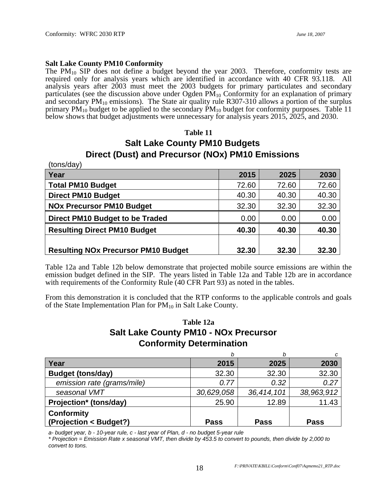#### **Salt Lake County PM10 Conformity**

The  $PM_{10}$  SIP does not define a budget beyond the year 2003. Therefore, conformity tests are required only for analysis years which are identified in accordance with 40 CFR 93.118. All analysis years after 2003 must meet the 2003 budgets for primary particulates and secondary particulates (see the discussion above under Ogden  $PM_{10}$  Conformity for an explanation of primary and secondary  $PM_{10}$  emissions). The State air quality rule R307-310 allows a portion of the surplus primary  $PM_{10}$  budget to be applied to the secondary  $PM_{10}$  budget for conformity purposes. Table 11 below shows that budget adjustments were unnecessary for analysis years 2015, 2025, and 2030.

#### **Table 11**

### **Salt Lake County PM10 Budgets Direct (Dust) and Precursor (NOx) PM10 Emissions**

| (tons/day)                                 |       |       |       |
|--------------------------------------------|-------|-------|-------|
| Year                                       | 2015  | 2025  | 2030  |
| <b>Total PM10 Budget</b>                   | 72.60 | 72.60 | 72.60 |
| <b>Direct PM10 Budget</b>                  | 40.30 | 40.30 | 40.30 |
| <b>NOx Precursor PM10 Budget</b>           | 32.30 | 32.30 | 32.30 |
| Direct PM10 Budget to be Traded            | 0.00  | 0.00  | 0.00  |
| <b>Resulting Direct PM10 Budget</b>        | 40.30 | 40.30 | 40.30 |
| <b>Resulting NOx Precursor PM10 Budget</b> | 32.30 | 32.30 | 32.30 |

Table 12a and Table 12b below demonstrate that projected mobile source emissions are within the emission budget defined in the SIP. The years listed in Table 12a and Table 12b are in accordance with requirements of the Conformity Rule (40 CFR Part 93) as noted in the tables.

From this demonstration it is concluded that the RTP conforms to the applicable controls and goals of the State Implementation Plan for  $PM_{10}$  in Salt Lake County.

### **Table 12a Salt Lake County PM10 - NOx Precursor Conformity Determination**

|                                             |             | b           |             |
|---------------------------------------------|-------------|-------------|-------------|
| Year                                        | 2015        | 2025        | 2030        |
| <b>Budget (tons/day)</b>                    | 32.30       | 32.30       | 32.30       |
| emission rate (grams/mile)                  | 0.77        | 0.32        | 0.27        |
| seasonal VMT                                | 30,629,058  | 36,414,101  | 38,963,912  |
| Projection* (tons/day)                      | 25.90       | 12.89       | 11.43       |
| <b>Conformity</b><br>(Projection < Budget?) | <b>Pass</b> | <b>Pass</b> | <b>Pass</b> |

*a- budget year, b - 10-year rule, c - last year of Plan, d - no budget 5-year rule* 

*\* Projection = Emission Rate x seasonal VMT, then divide by 453.5 to convert to pounds, then divide by 2,000 to convert to tons.*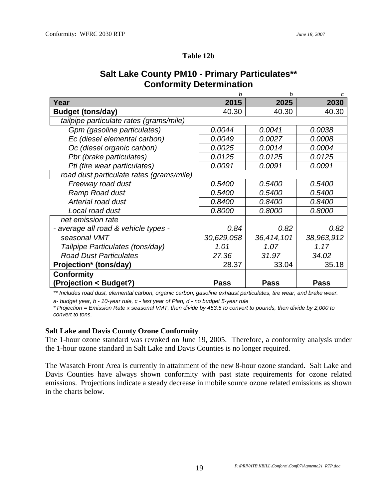### **Table 12b**

|                                          | h          | b           | C           |
|------------------------------------------|------------|-------------|-------------|
| Year                                     | 2015       | 2025        | 2030        |
| <b>Budget (tons/day)</b>                 | 40.30      | 40.30       | 40.30       |
| tailpipe particulate rates (grams/mile)  |            |             |             |
| Gpm (gasoline particulates)              | 0.0044     | 0.0041      | 0.0038      |
| Ec (diesel elemental carbon)             | 0.0049     | 0.0027      | 0.0008      |
| Oc (diesel organic carbon)               | 0.0025     | 0.0014      | 0.0004      |
| Pbr (brake particulates)                 | 0.0125     | 0.0125      | 0.0125      |
| Pti (tire wear particulates)             | 0.0091     | 0.0091      | 0.0091      |
| road dust particulate rates (grams/mile) |            |             |             |
| Freeway road dust                        | 0.5400     | 0.5400      | 0.5400      |
| Ramp Road dust                           | 0.5400     | 0.5400      | 0.5400      |
| Arterial road dust                       | 0.8400     | 0.8400      | 0.8400      |
| Local road dust                          | 0.8000     | 0.8000      | 0.8000      |
| net emission rate                        |            |             |             |
| - average all road & vehicle types -     | 0.84       | 0.82        | 0.82        |
| seasonal VMT                             | 30,629,058 | 36,414,101  | 38,963,912  |
| Tailpipe Particulates (tons/day)         | 1.01       | 1.07        | 1.17        |
| <b>Road Dust Particulates</b>            | 27.36      | 31.97       | 34.02       |
| Projection* (tons/day)                   | 28.37      | 33.04       | 35.18       |
| <b>Conformity</b>                        |            |             |             |
| (Projection < Budget?)                   | Pass       | <b>Pass</b> | <b>Pass</b> |

### **Salt Lake County PM10 - Primary Particulates\*\* Conformity Determination**

*\*\* Includes road dust, elemental carbon, organic carbon, gasoline exhaust particulates, tire wear, and brake wear.* 

*a- budget year, b - 10-year rule, c - last year of Plan, d - no budget 5-year rule* 

*\* Projection = Emission Rate x seasonal VMT, then divide by 453.5 to convert to pounds, then divide by 2,000 to convert to tons.* 

### **Salt Lake and Davis County Ozone Conformity**

The 1-hour ozone standard was revoked on June 19, 2005. Therefore, a conformity analysis under the 1-hour ozone standard in Salt Lake and Davis Counties is no longer required.

The Wasatch Front Area is currently in attainment of the new 8-hour ozone standard. Salt Lake and Davis Counties have always shown conformity with past state requirements for ozone related emissions. Projections indicate a steady decrease in mobile source ozone related emissions as shown in the charts below.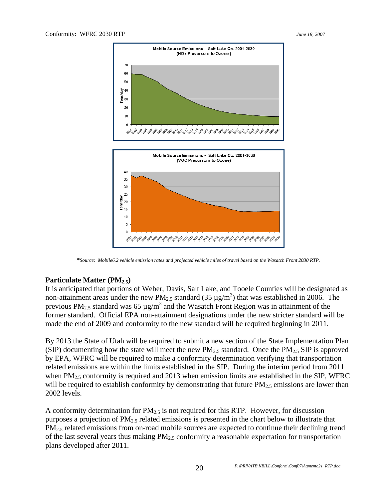

**\****Source: Mobile6.2 vehicle emission rates and projected vehicle miles of travel based on the Wasatch Front 2030 RTP.* 

### Particulate Matter (PM<sub>2.5</sub>)

It is anticipated that portions of Weber, Davis, Salt Lake, and Tooele Counties will be designated as non-attainment areas under the new PM<sub>2.5</sub> standard (35  $\mu$ g/m<sup>3</sup>) that was established in 2006. The previous PM<sub>2.5</sub> standard was 65  $\mu$ g/m<sup>3</sup> and the Wasatch Front Region was in attainment of the former standard. Official EPA non-attainment designations under the new stricter standard will be made the end of 2009 and conformity to the new standard will be required beginning in 2011.

By 2013 the State of Utah will be required to submit a new section of the State Implementation Plan (SIP) documenting how the state will meet the new  $PM_{2.5}$  standard. Once the  $PM_{2.5}$  SIP is approved by EPA, WFRC will be required to make a conformity determination verifying that transportation related emissions are within the limits established in the SIP. During the interim period from 2011 when  $PM<sub>2.5</sub>$  conformity is required and 2013 when emission limits are established in the SIP, WFRC will be required to establish conformity by demonstrating that future  $PM_{2.5}$  emissions are lower than 2002 levels.

A conformity determination for  $PM<sub>2.5</sub>$  is not required for this RTP. However, for discussion purposes a projection of  $PM_{2.5}$  related emissions is presented in the chart below to illustrate that PM<sub>2.5</sub> related emissions from on-road mobile sources are expected to continue their declining trend of the last several years thus making  $PM<sub>2.5</sub>$  conformity a reasonable expectation for transportation plans developed after 2011.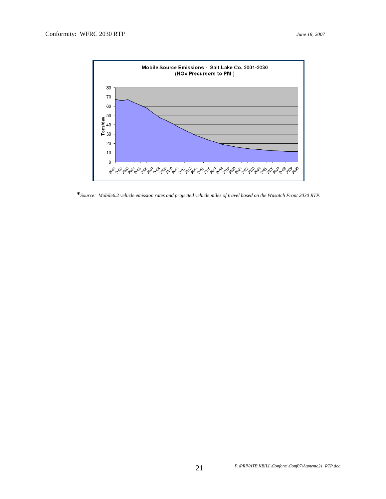

**\****Source: Mobile6.2 vehicle emission rates and projected vehicle miles of travel based on the Wasatch Front 2030 RTP.*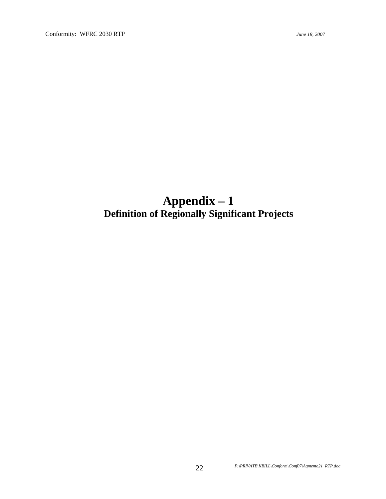## **Appendix – 1 Definition of Regionally Significant Projects**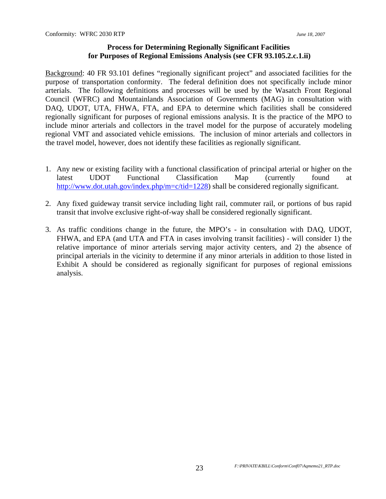### **Process for Determining Regionally Significant Facilities for Purposes of Regional Emissions Analysis (see CFR 93.105.2.c.1.ii)**

Background: 40 FR 93.101 defines "regionally significant project" and associated facilities for the purpose of transportation conformity. The federal definition does not specifically include minor arterials. The following definitions and processes will be used by the Wasatch Front Regional Council (WFRC) and Mountainlands Association of Governments (MAG) in consultation with DAQ, UDOT, UTA, FHWA, FTA, and EPA to determine which facilities shall be considered regionally significant for purposes of regional emissions analysis. It is the practice of the MPO to include minor arterials and collectors in the travel model for the purpose of accurately modeling regional VMT and associated vehicle emissions. The inclusion of minor arterials and collectors in the travel model, however, does not identify these facilities as regionally significant.

- 1. Any new or existing facility with a functional classification of principal arterial or higher on the latest UDOT Functional Classification Map (currently found at http://www.dot.utah.gov/index.php/m=c/tid=1228) shall be considered regionally significant.
- 2. Any fixed guideway transit service including light rail, commuter rail, or portions of bus rapid transit that involve exclusive right-of-way shall be considered regionally significant.
- 3. As traffic conditions change in the future, the MPO's in consultation with DAQ, UDOT, FHWA, and EPA (and UTA and FTA in cases involving transit facilities) - will consider 1) the relative importance of minor arterials serving major activity centers, and 2) the absence of principal arterials in the vicinity to determine if any minor arterials in addition to those listed in Exhibit A should be considered as regionally significant for purposes of regional emissions analysis.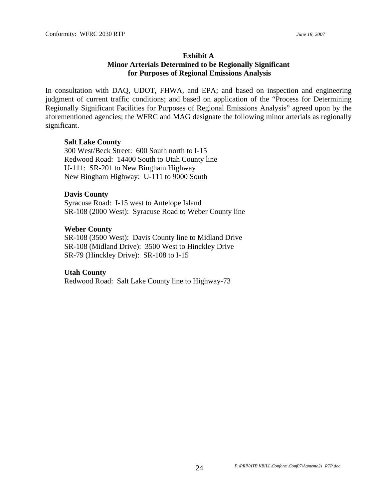### **Exhibit A Minor Arterials Determined to be Regionally Significant for Purposes of Regional Emissions Analysis**

In consultation with DAQ, UDOT, FHWA, and EPA; and based on inspection and engineering judgment of current traffic conditions; and based on application of the "Process for Determining Regionally Significant Facilities for Purposes of Regional Emissions Analysis" agreed upon by the aforementioned agencies; the WFRC and MAG designate the following minor arterials as regionally significant.

### **Salt Lake County**

300 West/Beck Street: 600 South north to I-15 Redwood Road: 14400 South to Utah County line U-111: SR-201 to New Bingham Highway New Bingham Highway: U-111 to 9000 South

### **Davis County**

Syracuse Road: I-15 west to Antelope Island SR-108 (2000 West): Syracuse Road to Weber County line

### **Weber County**

SR-108 (3500 West): Davis County line to Midland Drive SR-108 (Midland Drive): 3500 West to Hinckley Drive SR-79 (Hinckley Drive): SR-108 to I-15

### **Utah County**

Redwood Road: Salt Lake County line to Highway-73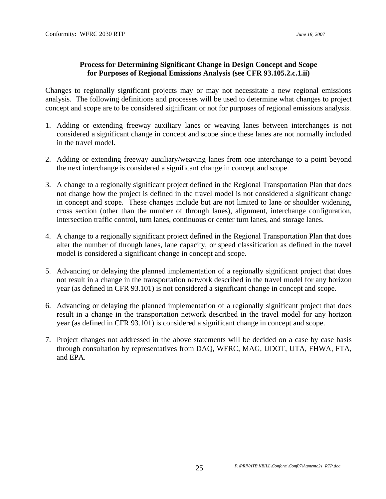### **Process for Determining Significant Change in Design Concept and Scope for Purposes of Regional Emissions Analysis (see CFR 93.105.2.c.1.ii)**

Changes to regionally significant projects may or may not necessitate a new regional emissions analysis. The following definitions and processes will be used to determine what changes to project concept and scope are to be considered significant or not for purposes of regional emissions analysis.

- 1. Adding or extending freeway auxiliary lanes or weaving lanes between interchanges is not considered a significant change in concept and scope since these lanes are not normally included in the travel model.
- 2. Adding or extending freeway auxiliary/weaving lanes from one interchange to a point beyond the next interchange is considered a significant change in concept and scope.
- 3. A change to a regionally significant project defined in the Regional Transportation Plan that does not change how the project is defined in the travel model is not considered a significant change in concept and scope. These changes include but are not limited to lane or shoulder widening, cross section (other than the number of through lanes), alignment, interchange configuration, intersection traffic control, turn lanes, continuous or center turn lanes, and storage lanes.
- 4. A change to a regionally significant project defined in the Regional Transportation Plan that does alter the number of through lanes, lane capacity, or speed classification as defined in the travel model is considered a significant change in concept and scope.
- 5. Advancing or delaying the planned implementation of a regionally significant project that does not result in a change in the transportation network described in the travel model for any horizon year (as defined in CFR 93.101) is not considered a significant change in concept and scope.
- 6. Advancing or delaying the planned implementation of a regionally significant project that does result in a change in the transportation network described in the travel model for any horizon year (as defined in CFR 93.101) is considered a significant change in concept and scope.
- 7. Project changes not addressed in the above statements will be decided on a case by case basis through consultation by representatives from DAQ, WFRC, MAG, UDOT, UTA, FHWA, FTA, and EPA.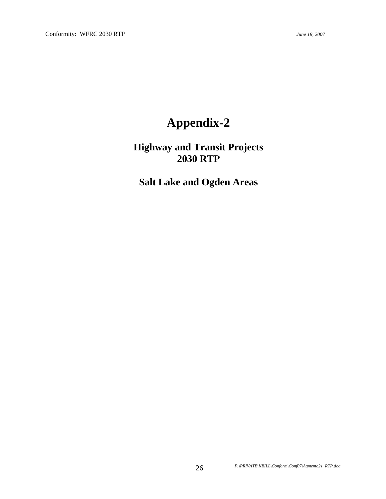## **Appendix-2**

**Highway and Transit Projects 2030 RTP** 

**Salt Lake and Ogden Areas**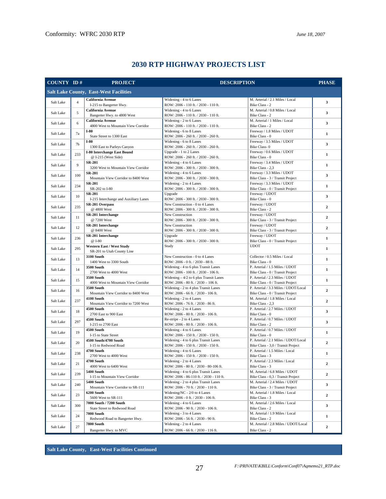| COUNTY ID# |                | <b>PROJECT</b>                                       | <b>DESCRIPTION</b>                                                              |                                                                      | <b>PHASE</b>   |
|------------|----------------|------------------------------------------------------|---------------------------------------------------------------------------------|----------------------------------------------------------------------|----------------|
|            |                | <b>Salt Lake County, East-West Facilities</b>        |                                                                                 |                                                                      |                |
|            |                | California Avenue                                    | Widening - 4 to 6 Lanes                                                         | M. Arterial / 2.1 Miles / Local                                      |                |
| Salt Lake  | $\overline{4}$ | I-215 to Bangerter Hwy.                              | ROW: 2006 - 110 ft. / 2030 - 110 ft.                                            | Bike Class - 2                                                       | 3              |
|            | 5              | California Avenue                                    | Widening - 4 to 6 Lanes                                                         | M. Arterial / 0.8 Miles / Local                                      |                |
| Salt Lake  |                | Bangerter Hwy. to 4800 West                          | ROW: 2006 - 110 ft. / 2030 - 110 ft.                                            | Bike Class - 2                                                       | 3              |
| Salt Lake  | 6              | California Avenue                                    | Widening - 2 to 6 Lanes                                                         | M. Arterial / 1 Miles / Local                                        | 3              |
|            |                | 4800 West to Mountain View Corridor                  | ROW: 2006 - 110 ft. / 2030 - 110 ft.                                            | Bike Class - 2                                                       |                |
| Salt Lake  | 7a             | $I-80$<br>State Street to 1300 East                  | Widening - 6 to 8 Lanes<br>ROW: 2006 - 260 ft. / 2030 - 260 ft.                 | Freeway / 1.8 Miles / UDOT<br>Bike Class - 0                         | $\mathbf{1}$   |
|            |                | $I-80$                                               | Widening - 6 to 8 Lanes                                                         | Freeway / 3.5 Miles / UDOT                                           |                |
| Salt Lake  | 7 <sub>b</sub> | 1300 East to Parleys Canyon                          | ROW: 2006 - 260 ft. / 2030 - 260 ft.                                            | Bike Class-0                                                         | 3              |
|            |                | <b>I-80 Interchange East Bound</b>                   | Upgrade - 1 to 2 Lanes                                                          | Freeway / 0.6 Miles / UDOT                                           |                |
| Salt Lake  | 233            | @ I-215 (West Side)                                  | ROW: 2006 - 260 ft. / 2030 - 260 ft.                                            | Bike Class - 0                                                       | $\mathbf{1}$   |
| Salt Lake  | 9              | <b>SR-201</b>                                        | Widening - 4 to 6 Lanes                                                         | Freeway / 3.4 Miles / UDOT                                           | $\mathbf{1}$   |
|            |                | 3200 West to Mountain View Corridor                  | ROW: 2006 - 300 ft. / 2030 - 300 ft.                                            | Bike Class - 2,3                                                     |                |
| Salt Lake  | 100            | <b>SR-201</b><br>Mountain View Corridor to 8400 West | Widening - 4 to 6 Lanes<br>ROW: 2006 - 300 ft. / 2030 - 300 ft.                 | Freeway / 3.3 Miles / UDOT<br>Bike Class - 3 / Transit Project       | 3              |
|            |                | <b>SR-201</b>                                        | Widening - 2 to 4 Lanes                                                         | Freeway / 3.3 Miles / UDOT                                           |                |
| Salt Lake  | 234            | SR-202 to I-80                                       | ROW: 2006 - 300 ft. / 2030 - 300 ft.                                            | Bike Class - 0 / Transit Project                                     | $\mathbf{1}$   |
|            |                | <b>SR-201</b>                                        | Upgrade                                                                         | Freeway / UDOT                                                       |                |
| Salt Lake  | 10             | I-215 Interchange and Auxiliary Lanes                | ROW: 2006 - 300 ft. / 2030 - 300 ft.                                            | Bike Class - 0                                                       | 3              |
| Salt Lake  | 235            | SR-201 Overpass                                      | New Construction - 0 to 4 Lanes                                                 | Freeway / UDOT                                                       | $\overline{2}$ |
|            |                | @ 4800 West                                          | ROW: 2006 - 300 ft. / 2030 - 300 ft.                                            | Bike Class - 2                                                       |                |
| Salt Lake  | 11             | SR-201 Interchange                                   | New Construction                                                                | Freeway / UDOT                                                       | $\overline{2}$ |
|            |                | @ 7200 West                                          | ROW: 2006 - 300 ft. / 2030 - 300 ft.<br>New Construction                        | Bike Class - 3 / Transit Project                                     |                |
| Salt Lake  | 12             | SR-201 Interchange<br>@ 8400 West                    | ROW: 2006 - 300 ft. / 2030 - 300 ft.                                            | Freeway / UDOT<br>Bike Class - 3 / Transit Project                   | $\mathbf{2}$   |
|            |                | SR-201 Interchange                                   | Upgrade                                                                         | Freeway / UDOT                                                       |                |
| Salt Lake  | 236            | @ I-80                                               | ROW: 2006 - 300 ft. / 2030 - 300 ft.                                            | Bike Class - 0 / Transit Project                                     | $\mathbf{1}$   |
|            | 295            | <b>Western East / West Study</b>                     | Study                                                                           | <b>UDOT</b>                                                          |                |
| Salt Lake  |                | SR-201 to Utah County Line                           |                                                                                 |                                                                      | $\mathbf{1}$   |
| Salt Lake  | 13             | <b>3100 South</b>                                    | New Construction - 0 to 4 Lanes                                                 | Collector / 0.5 Miles / Local                                        | $\mathbf{1}$   |
|            |                | 1400 West to 3300 South                              | ROW: 2006 - 0 ft. / 2030 - 88 ft.                                               | Bike Class - 0                                                       |                |
| Salt Lake  | 14             | <b>3500 South</b>                                    | Widening - 4 to 6 plus Transit Lanes                                            | P. Arterial / 1.5 Miles / UDOT                                       | $\mathbf{1}$   |
|            |                | 2700 West to 4000 West<br><b>3500 South</b>          | ROW: 2006 - 100 ft. / 2030 - 106 ft.<br>Widening $-4/2$ to 6 plus Transit Lanes | Bike Class - 0 / Transit Project<br>P. Arterial / 2.3 Miles / UDOT   |                |
| Salt Lake  | 15             | 4000 West to Mountain View Corridor                  | ROW: 2006 - 80 ft. / 2030 - 106 ft.                                             | Bike Class - 0 / Transit Project                                     | $\mathbf{1}$   |
|            |                | <b>3500 South</b>                                    | Widening - 2 to 4 plus Transit Lanes                                            | P. Arterial / 3.3 Miles / UDOT/Local                                 |                |
| Salt Lake  | 16             | Mountain View Corridor to 8400 West                  | ROW: 2006 - 66 ft. / 2030 - 106 ft.                                             | Bike Class - 0 / Transit Project                                     | $\mathbf{2}$   |
| Salt Lake  | 237            | 4100 South                                           | Widening - 2 to 4 Lanes                                                         | M. Arterial / 1.8 Miles / Local                                      | $\mathbf{2}$   |
|            |                | Mountain View Corridor to 7200 West                  | ROW: 2006 - 76 ft. / 2030 - 86 ft.                                              | Bike Class - 2,3                                                     |                |
| Salt Lake  | 18             | 4500 South                                           | Widening - 2 to 4 Lanes                                                         | P. Arterial / 2.7 Miles / UDOT                                       | 3              |
|            |                | 2700 East to 900 East                                | ROW: 2006 - 80 ft. / 2030 - 106 ft.                                             | Bike Class - 0                                                       |                |
| Salt Lake  | 297            | 4500 South<br>I-215 to 2700 East                     | Re-stripe - 2 to 4 Lanes<br>ROW: 2006 - 80 ft. / 2030 - 106 ft.                 | P. Arterial / 0.7 Miles / UDOT<br>Bike Class - 2                     | 3              |
|            |                | 4500 South                                           | Widening - 4 to 6 Lanes                                                         | P. Arterial / 0.7 Miles / UDOT                                       |                |
| Salt Lake  | 19             | I-15 to State Street                                 | ROW: 2006 - 150 ft. / 2030 - 150 ft.                                            | Bike Class - 0                                                       | $\mathbf{1}$   |
|            |                | 4500 South/4700 South                                | Widening - 4 to 6 plus Transit Lanes                                            | P. Arterial / 2.1 Miles / UDOT/Local                                 |                |
| Salt Lake  | 20             | I-15 to Redwood Road                                 | ROW: 2006 - 150 ft. / 2030 - 150 ft.                                            | Bike Class - 3,0 / Transit Project                                   | $\mathbf{2}$   |
| Salt Lake  | 238            | 4700 South                                           | Widening - 4 to 6 Lanes                                                         | P. Arterial / 1.5 Miles / Local                                      | $\mathbf{1}$   |
|            |                | 2700 West to 4000 West                               | ROW: 2006 - 150 ft. / 2030 - 150 ft.                                            | Bike Class - 3                                                       |                |
| Salt Lake  | 21             | 4700 South                                           | Widening - 2 to 4 Lanes                                                         | P. Arterial / 2.3 Miles / Local                                      | 2              |
|            |                | 4000 West to 6400 West                               | ROW: 2006 - 80 ft. / 2030 - 80-106 ft.                                          | Bike Class - 3                                                       |                |
| Salt Lake  | 239            | 5400 South<br>I-15 to Mountain View Corridor         | Widening - 4 to 6 plus Transit Lanes<br>ROW: 2006 - 86-110 ft. / 2030 - 110 ft. | M. Arterial / 6.8 Miles / UDOT<br>Bike Class - 0,3 / Transit Project | 2              |
|            |                | 5400 South                                           | Widening - 2 to 4 plus Transit Lanes                                            | M. Arterial / 2.4 Miles / UDOT                                       |                |
| Salt Lake  | 240            | Mountain View Corridor to SR-111                     | ROW: 2006 - 70 ft. / 2030 - 110 ft.                                             | Bike Class - 3 / Transit Project                                     | 3              |
|            |                | 6200 South                                           | Widening/NC - 2/0 to 4 Lanes                                                    | M. Arterial / 1.8 Miles / Local                                      |                |
| Salt Lake  | 23             | 5600 West to SR-111                                  | ROW: 2006 - 0 ft. / 2030 - 106 ft.                                              | Bike Class - 3                                                       | $\mathbf{2}$   |
| Salt Lake  | 300            | 7000 South / 7200 South                              | Widening - 4 to 6 Lanes                                                         | M. Arterial / 2.6 Miles / Local                                      | 3              |
|            |                | State Street to Redwood Road                         | ROW: 2006 - 90 ft. / 2030 - 106 ft.                                             | Bike Class - 2                                                       |                |
| Salt Lake  | 24             | 7000 South                                           | Widening - 3 to 4 Lanes                                                         | M. Arterial / 1.9 Miles / Local                                      | $\mathbf{1}$   |
|            |                | Redwood Road to Bangerter Hwy.<br><b>7800 South</b>  | ROW: 2006 - 56 ft. / 2030 - 90 ft.                                              | Bike Class - 2<br>M. Arterial / 2.8 Miles / UDOT/Local               |                |
| Salt Lake  | 27             |                                                      | Widening - 2 to 4 Lanes                                                         |                                                                      | $\mathbf{2}$   |
|            |                | Bangerter Hwy. to MVC                                | ROW: 2006 - 66 ft. / 2030 - 116 ft.                                             | Bike Class - 2                                                       |                |

### **2030 RTP HIGHWAY PROJECTS LIST**

**Salt Lake County, East-West Facilities Continued**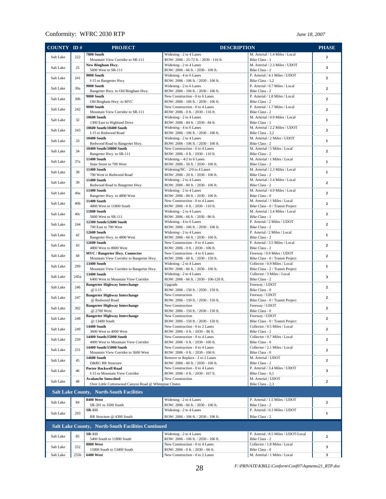| COUNTY ID#                                                |                 | <b>PROJECT</b>                                                              | <b>DESCRIPTION</b>                                                      |                                                                     | <b>PHASE</b>   |  |
|-----------------------------------------------------------|-----------------|-----------------------------------------------------------------------------|-------------------------------------------------------------------------|---------------------------------------------------------------------|----------------|--|
| Salt Lake                                                 | 222             | 7800 South                                                                  | Widening - 2 to 4 Lanes                                                 | M. Arterial / 1.4 Miles / Local                                     | $\overline{2}$ |  |
|                                                           |                 | Mountain View Corridor to SR-111                                            | ROW: 2006 - 25-72 ft. / 2030 - 116 ft.                                  | Bike Class - 1                                                      |                |  |
| Salt Lake                                                 | 25              | New Bingham Hwy.<br>5600 West to SR-111                                     | Widening - 2 to 4 Lanes<br>ROW: 2006 - 66 ft. / 2030 - 106 ft.          | M. Arterial / 2.3 Miles / UDOT<br>Bike Class - 2                    | 3              |  |
|                                                           |                 | 9000 South                                                                  | Widening - 4 to 6 Lanes                                                 | P. Arterial / 4.1 Miles / UDOT                                      |                |  |
| Salt Lake                                                 | 241             | I-15 to Bangerter Hwy.                                                      | ROW: 2006 - 106 ft. / 2030 - 106 ft.                                    | Bike Class - 1,2                                                    | $\overline{2}$ |  |
| Salt Lake                                                 | 30a             | 9000 South                                                                  | Widening - 2 to 6 Lanes                                                 | P. Arterial / 0.7 Miles / Local                                     | $\overline{2}$ |  |
|                                                           |                 | Bangerter Hwy. to Old Bingham Hwy.<br>9000 South                            | ROW: 2006 - 106 ft. / 2030 - 106 ft.<br>New Construction - 0 to 6 Lanes | Bike Class - 2<br>P. Arterial / 1.8 Miles / Local                   |                |  |
| Salt Lake                                                 | 30 <sub>b</sub> | Old Bingham Hwy. to MVC                                                     | ROW: 2006 - 106 ft. / 2030 - 106 ft.                                    | Bike Class - 2                                                      | $\overline{2}$ |  |
| Salt Lake                                                 | 242             | 9000 South                                                                  | New Construction - 0 to 4 Lanes                                         | P. Arterial / 1.7 Miles / Local                                     | $\overline{2}$ |  |
|                                                           |                 | Mountain View Corridor to SR-111<br><b>10600 South</b>                      | ROW: 2006 - 0 ft. / 2030 - 116 ft.                                      | Bike Class - 2<br>M. Arterial / 0.9 Miles / Local                   |                |  |
| Salt Lake                                                 | 32              | 1300 East to Highland Drive                                                 | Widening - 2 to 4 Lanes<br>ROW: 2006 - 84 ft. / 2030 - 84 ft.           | Bike Class - 1                                                      | $\mathbf{1}$   |  |
| Salt Lake                                                 | 243             | 10600 South/10400 South                                                     | Widening - 4 to 6 Lanes                                                 | M. Arterial / 2.2 Miles / UDOT                                      | $\overline{2}$ |  |
|                                                           |                 | I-15 to Redwood Road                                                        | ROW: 2006 - 106 ft. / 2030 - 106 ft.                                    | Bike Class - 3.2                                                    |                |  |
| Salt Lake                                                 | 33              | <b>10400 South</b><br>Redwood Road to Bangerter Hwy.                        | Widening - 2 to 4 Lanes<br>ROW: 2006 - 106 ft. / 2030 - 106 ft.         | M. Arterial / 2 Miles / UDOT<br>Bike Class - 2                      | $\mathbf{1}$   |  |
|                                                           | 34              | 10400 South/10800 South                                                     | New Construction - 0 to 4 Lanes                                         | M. Arterial / 5 Miles / Local                                       | $\overline{2}$ |  |
| Salt Lake                                                 |                 | Bangerter Hwy. to SR-111                                                    | ROW: 2006 - 0 ft. / 2030 - 110 ft.                                      | Bike Class - 2                                                      |                |  |
| Salt Lake                                                 | 37a             | <b>11400 South</b><br>State Street to 700 West                              | Widening $-4/2$ to 6 Lanes<br>ROW: 2006 - 50 ft. / 2030 - 106 ft.       | M. Arterial / 1 Miles / Local<br>Bike Class - 2                     | $\mathbf{1}$   |  |
|                                                           |                 | <b>11400 South</b>                                                          | Widening/NC - 2/0 to 4 Lanes                                            | M. Arterial / 2.3 Miles / Local                                     |                |  |
| Salt Lake                                                 | 38              | 700 West to Redwood Road                                                    | ROW: 2006 - 20 ft. / 2030 - 106 ft.                                     | Bike Class - 2                                                      | $\mathbf{1}$   |  |
| Salt Lake                                                 | 39              | <b>11400 South</b>                                                          | Widening - 2 to 4 Lanes                                                 | M. Arterial / 2.4 Miles / Local                                     | $\overline{2}$ |  |
|                                                           |                 | Redwood Road to Bangerter Hwy.<br><b>11400 South</b>                        | ROW: 2006 - 80 ft. / 2030 - 106 ft.<br>Widening - 2 to 4 Lanes          | Bike Class - 2<br>M. Arterial / 4.9 Miles / Local                   |                |  |
| Salt Lake                                                 | 40a             | Bangerter Hwy. to 4800 West                                                 | ROW: 2006 - 80 ft. / 2030 - 106 ft.                                     | Bike Class - 0                                                      | $\overline{2}$ |  |
| Salt Lake                                                 | 40 <sub>b</sub> | <b>11400 South</b>                                                          | New Construction - 0 to 4 Lanes                                         | M. Arterial / 1 Miles / Local                                       | $\overline{2}$ |  |
|                                                           |                 | 4800 West to 11800 South<br><b>11800 South</b>                              | ROW: 2006 - 0 ft. / 2030 - 110 ft.<br>Widening - 2 to 4 Lanes           | Bike Class - 0 / Transit Project<br>M. Arterial / 2.4 Miles / Local |                |  |
| Salt Lake                                                 | 40c             | 5600 West to SR-111                                                         | ROW: 2006 - 66 ft. / 2030 - 86 ft.                                      | Bike Class - 1                                                      | $\overline{2}$ |  |
| Salt Lake                                                 | 244             | 12300 South/12600 South                                                     | Widening - 4 to 6 Lanes                                                 | P. Arterial / 2 Miles / UDOT                                        | $\overline{2}$ |  |
|                                                           |                 | 700 East to 700 West                                                        | ROW: 2006 - 106 ft. / 2030 - 106 ft.                                    | Bike Class - 2                                                      |                |  |
| Salt Lake                                                 | 42              | <b>12600 South</b><br>Bangerter Hwy. to 4800 West                           | Widening - 2 to 4 Lanes<br>ROW: 2006 - 66 ft. / 2030 - 106 ft.          | P. Arterial / 2 Miles / Local<br>Bike Class - 2                     | $\mathbf{1}$   |  |
|                                                           |                 | <b>12600 South</b>                                                          | New Construction - 0 to 4 Lanes                                         | P. Arterial / 3.5 Miles / Local                                     |                |  |
| Salt Lake                                                 | 43              | 4800 West to 8000 West                                                      | ROW: 2006 - 0 ft. / 2030 - 106 ft.                                      | Bike Class - 2                                                      | $\overline{2}$ |  |
| Salt Lake                                                 | 44              | <b>MVC</b> / Bangerter Hwy. Connector                                       | New Construction - 4 to 6 Lanes                                         | Freeway / 0.9 Miles / UDOT                                          | $\overline{2}$ |  |
|                                                           |                 | Mountain View Corridor to Bangerter Hwy.<br><b>13400 South</b>              | ROW: 2006 - 60 ft. / 2030 - 150 ft.<br>Widening - 2 to 4 Lanes          | Bike Class - 0 / Transit Project<br>Collector / 0.9 Miles / Local   |                |  |
| Salt Lake                                                 | 299             | Mountain View Corridor to Bangerter Hwy.                                    | ROW: 2006 - 66 ft. / 2030 - 106 ft.                                     | Bike Class - 2 / Transit Project                                    | $\mathbf{1}$   |  |
| Salt Lake                                                 | 245a            | <b>13400 South</b>                                                          | Widening - 2 to 4 Lanes                                                 | Collector / 3 Miles / Local                                         | 3              |  |
|                                                           |                 | 6400 West to Mountain View Corridor<br><b>Bangerter Highway Interchange</b> | ROW: 2006 - 66 ft. / 2030 - 106-120 ft.<br>Upgrade                      | Bike Class - 2<br>Freeway / UDOT                                    |                |  |
| Salt Lake                                                 | 246             | @ I-15                                                                      | ROW: 2006 - 150 ft. / 2030 - 150 ft.                                    | Bike Class - 0                                                      | $\overline{2}$ |  |
| Salt Lake                                                 | 247             | <b>Bangerter Highway Interchange</b>                                        | New Construction                                                        | Freeway / UDOT                                                      | $\overline{2}$ |  |
|                                                           |                 | @ Redwood Road<br><b>Bangerter Highway Interchange</b>                      | ROW: 2006 - 150 ft. / 2030 - 150 ft.<br>New Construction                | Bike Class - 0 / Transit Project<br>Freeway / UDOT                  |                |  |
| Salt Lake                                                 | 302             | @ 2700 West                                                                 | ROW: 2006 - 150 ft. / 2030 - 150 ft.                                    | Bike Class - 0                                                      | $\mathbf{2}$   |  |
| Salt Lake                                                 | 248             | <b>Bangerter Highway Interchange</b>                                        | New Construction                                                        | Freeway / UDOT                                                      | $\mathbf{2}$   |  |
|                                                           |                 | @ 13400 South                                                               | ROW: 2006 - 150 ft. / 2030 - 150 ft.                                    | Bike Class - 0 / Transit Project                                    |                |  |
| Salt Lake                                                 | 249             | <b>14400 South</b><br>3600 West to 4000 West                                | New Construction - 0 to 2 Lanes<br>ROW: 2006 - 0 ft. / 2030 - 86 ft.    | Collector / 0.5 Miles / Local<br>Bike Class - 2                     | 2              |  |
| Salt Lake                                                 | 250             | 14400 South/15000 South                                                     | New Construction - 0 to 4 Lanes                                         | Collector / 0.7 Miles / Local                                       | 2              |  |
|                                                           |                 | 4000 West to Mountain View Corridor                                         | ROW: 2006 - 0 ft. / 2030 - 106 ft.                                      | Bike Class - 0                                                      |                |  |
| Salt Lake                                                 | 251             | 14400 South/15000 South<br>Mountain View Corridor to 5600 West              | New Construction - 0 to 4 Lanes<br>ROW: 2006 - 0 ft. / 2030 - 106 ft.   | Collector / 2.1 Miles / Local<br>Bike Class - 0                     | $\mathbf{2}$   |  |
|                                                           |                 | <b>14600 South</b>                                                          | Remove or Replace - 2 to 2 Lanes                                        | M. Arterial / UDOT                                                  | 2              |  |
| Salt Lake                                                 | 45              | D&RG RR Structure                                                           | ROW: 2006 - 60 ft. / 2030 - 106 ft.                                     | Bike Class - 2                                                      |                |  |
| Salt Lake                                                 | 46              | <b>Porter Rockwell Road</b><br>I-15 to Mountain View Corridor               | New Construction - 0 to 4 Lanes<br>ROW: 2006 - 0 ft. / 2030 - 167 ft.   | P. Arterial / 3.4 Miles / UDOT<br>Bike Class - 0.1                  | 3              |  |
|                                                           |                 | <b>Avalanche Snowshed</b>                                                   | New Construction                                                        | M. Arterial / UDOT                                                  |                |  |
| Salt Lake                                                 | 48              | Over Little Cottonwood Canyon Road @ Whitepine Chutes                       |                                                                         | Bike Class - 2,3                                                    | 2              |  |
| <b>Salt Lake County, North-South Facilities</b>           |                 |                                                                             |                                                                         |                                                                     |                |  |
|                                                           |                 | <b>8400 West</b>                                                            | Widening - 2 to 4 Lanes                                                 | P. Arterial / 1.5 Miles / UDOT                                      |                |  |
| Salt Lake                                                 | 84              | SR-201 to 3500 South                                                        | ROW: 2006 - 66 ft. / 2030 - 106 ft.                                     | Bike Class - 2                                                      | $\overline{2}$ |  |
| Salt Lake                                                 | 293             | SR-111                                                                      | Widening - 2 to 4 Lanes                                                 | P. Arterial / 0.3 Miles / UDOT                                      | 1              |  |
|                                                           |                 | RR Structure @ 4300 South                                                   | ROW: 2006 - 106 ft. / 2030 - 106 ft.                                    | Bike Class - 2                                                      |                |  |
| <b>Salt Lake County, North-South Facilities Continued</b> |                 |                                                                             |                                                                         |                                                                     |                |  |
|                                                           |                 | <b>SR-111</b>                                                               | Widening - 2 to 4 Lanes                                                 | P. Arterial / 8.5 Miles / UDOT/Local                                |                |  |
| Salt Lake                                                 | 85              | 5400 South to 11800 South                                                   | ROW: 2006 - 106 ft. / 2030 - 106 ft.                                    | Bike Class - 2                                                      | $\overline{2}$ |  |
| Salt Lake                                                 | 252             | <b>8000 West</b>                                                            | New Construction - 0 to 4 Lanes                                         | Collector / 1.8 Miles / Local                                       | 3              |  |
| Salt Lake                                                 | 255b            | 11800 South to 13400 South<br><b>6400 West</b>                              | ROW: 2006 - 0 ft. / 2030 - 66 ft.<br>New Construction - 0 to 2 Lanes    | Bike Class - 0<br>M. Arterial / 1 Miles / Local                     | 3              |  |
|                                                           |                 |                                                                             |                                                                         |                                                                     |                |  |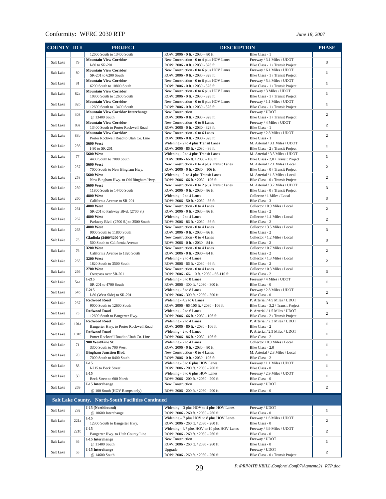| COUNTY ID# |                  | <b>PROJECT</b>                                                | <b>DESCRIPTION</b>                                                                   |                                                                      | <b>PHASE</b>   |
|------------|------------------|---------------------------------------------------------------|--------------------------------------------------------------------------------------|----------------------------------------------------------------------|----------------|
|            |                  | 12600 South to 13400 South                                    | ROW: 2006 - 0 ft. / 2030 - 80 ft.                                                    | Bike Class - 1                                                       |                |
| Salt Lake  | 79               | <b>Mountain View Corridor</b>                                 | New Construction - 0 to 4 plus HOV Lanes                                             | Freeway / 3.1 Miles / UDOT                                           | 3              |
|            |                  | I-80 to SR-201                                                | ROW: 2006 - 0 ft. / 2030 - 328 ft.                                                   | Bike Class - 1 / Transit Project                                     |                |
| Salt Lake  | 80               | <b>Mountain View Corridor</b>                                 | New Construction - 0 to 6 plus HOV Lanes                                             | Freeway / 6.1 Miles / UDOT                                           | $\mathbf{1}$   |
|            |                  | SR-201 to 6200 South<br><b>Mountain View Corridor</b>         | ROW: 2006 - 0 ft. / 2030 - 328 ft.<br>New Construction - 0 to 6 plus HOV Lanes       | Bike Class - 1 / Transit Project<br>Freeway / 5.4 Miles / UDOT       |                |
| Salt Lake  | 81               | 6200 South to 10800 South                                     | ROW: 2006 - 0 ft. / 2030 - 328 ft.                                                   | Bike Class - 1 / Transit Project                                     | $\mathbf{1}$   |
|            |                  | <b>Mountain View Corridor</b>                                 | New Construction - 0 to 6 plus HOV Lanes                                             | Freeway / 3 Miles / UDOT                                             |                |
| Salt Lake  | 82a              | 10800 South to 12600 South                                    | ROW: 2006 - 0 ft. / 2030 - 328 ft.                                                   | Bike Class - 1 / Transit Project                                     | $\mathbf{1}$   |
| Salt Lake  | 82 <sub>b</sub>  | <b>Mountain View Corridor</b>                                 | New Construction - 0 to 6 plus HOV Lanes                                             | Freeway / 1.1 Miles / UDOT                                           | $\mathbf{1}$   |
|            |                  | 12600 South to 13400 South                                    | ROW: 2006 - 0 ft. / 2030 - 328 ft.                                                   | Bike Class - 1 / Transit Project                                     |                |
| Salt Lake  | 303              | <b>Mountain View Corridor Interchange</b><br>@ 13400 South    | New Construction                                                                     | Freeway / UDOT                                                       | $\mathbf{2}$   |
|            |                  | <b>Mountain View Corridor</b>                                 | ROW: 2006 - 0 ft. / 2030 - 328 ft.<br>New Construction - 0 to 6 Lanes                | Bike Class - 1 / Transit Project<br>Freeway / 4 Miles / UDOT         |                |
| Salt Lake  | 83a              | 13400 South to Porter Rockwell Road                           | ROW: 2006 - 0 ft. / 2030 - 328 ft.                                                   | Bike Class - 1                                                       | $\mathbf{2}$   |
| Salt Lake  | 83b              | <b>Mountain View Corridor</b>                                 | New Construction - 0 to 6 Lanes                                                      | Freeway / 2.8 Miles / UDOT                                           | $\mathbf{2}$   |
|            |                  | Porter Rockwell Road to Utah Co. Line                         | ROW: 2006 - 0 ft. / 2030 - 328 ft.                                                   | Bike Class - 1                                                       |                |
| Salt Lake  | 256              | <b>5600 West</b>                                              | Widening - 2 to 4 plus Transit Lanes                                                 | M. Arterial / 3.1 Miles / UDOT                                       | $\mathbf{1}$   |
|            |                  | I-80 to SR-201                                                | ROW: 2006 - 86 ft. / 2030 - 86 ft.                                                   | Bike Class - 2 / Transit Project                                     |                |
| Salt Lake  | 77               | <b>5600 West</b><br>4400 South to 7000 South                  | Widening - 2 to 4 plus Transit Lanes<br>ROW: 2006 - 66 ft. / 2030 - 106 ft.          | M. Arterial / 3.5 Miles / UDOT<br>Bike Class - 2,0 / Transit Project | $\mathbf{1}$   |
|            |                  | <b>5600 West</b>                                              | New Construction - 0 to 4 plus Transit Lanes                                         | M. Arterial / 2.1 Miles / Local                                      |                |
| Salt Lake  | 257              | 7000 South to New Bingham Hwy.                                | ROW: 2006 - 0 ft. / 2030 - 106 ft.                                                   | Bike Class - 0 / Transit Project                                     | $\overline{2}$ |
| Salt Lake  | 258              | <b>5600 West</b>                                              | Widening - 2 to 4 plus Transit Lanes                                                 | M. Arterial / 1.5 Miles / Local                                      | $\mathbf{2}$   |
|            |                  | New Bingham Hwy. to Old Bingham Hwy.                          | ROW: 2006 - 66 ft. / 2030 - 106 ft.                                                  | Bike Class - 0 / Transit Project                                     |                |
| Salt Lake  | 259              | <b>5600 West</b>                                              | New Construction - 0 to 2 plus Transit Lanes                                         | M. Arterial / 3.2 Miles / UDOT                                       | 3              |
|            |                  | 11800 South to 14400 South<br><b>4800 West</b>                | ROW: 2006 - 0 ft. / 2030 - 86 ft.<br>Widening - 2 to 4 Lanes                         | Bike Class - 0 / Transit Project<br>Collector / 1 Miles / Local      |                |
| Salt Lake  | 260              | California Avenue to SR-201                                   | ROW: 2006 - 50 ft. / 2030 - 86 ft.                                                   | Bike Class - 3                                                       | 3              |
|            |                  | <b>4800 West</b>                                              | New Construction - 0 to 4 Lanes                                                      | Collector / 0.9 Miles / Local                                        |                |
| Salt Lake  | 261              | SR-201 to Parkway Blvd. (2700 S.)                             | ROW: 2006 - 0 ft. / 2030 - 86 ft.                                                    | Bike Class - 2                                                       | $\mathbf{2}$   |
| Salt Lake  | 262              | <b>4800 West</b>                                              | Widening - 2 to 4 Lanes                                                              | Collector / 1.1 Miles / Local                                        | $\overline{2}$ |
|            |                  | Parkway Blvd. (2700 S.) to 3500 South                         | ROW: 2006 - 86 ft. / 2030 - 86 ft.                                                   | Bike Class - 2                                                       |                |
| Salt Lake  | 263              | <b>4800 West</b>                                              | New Construction - 0 to 4 Lanes                                                      | Collector / 3.5 Miles / Local                                        | 3              |
|            |                  | 9000 South to 11800 South                                     | ROW: 2006 - 0 ft. / 2030 - 86 ft.                                                    | Bike Class - 2                                                       |                |
| Salt Lake  | 75               | Gladiola (3400/3200 W)<br>500 South to California Avenue      | New Construction - 0 to 4 Lanes<br>ROW: 2006 - 0 ft. / 2030 - 84 ft.                 | Collector / 1.2 Miles / Local<br>Bike Class - 2                      | 3              |
|            |                  | 3200 West                                                     | New Construction - 0 to 4 Lanes                                                      | Collector / 0.7 Miles / Local                                        |                |
| Salt Lake  | 76               | California Avenue to 1820 South                               | ROW: 2006 - 0 ft. / 2030 - 84 ft.                                                    | Bike Class - 2                                                       | $\mathbf{2}$   |
| Salt Lake  | 265              | 3200 West                                                     | Widening - 2 to 4 Lanes                                                              | Collector / 1.3 Miles / Local                                        | $\mathbf{2}$   |
|            |                  | 1820 South to 3500 South                                      | ROW: 2006 - 66 ft. / 2030 - 66 ft.                                                   | Bike Class - 2                                                       |                |
| Salt Lake  | 266              | <b>2700 West</b>                                              | New Construction - 0 to 4 Lanes                                                      | Collector / 0.3 Miles / Local                                        | 3              |
|            |                  | Overpass over SR-201<br>$I-215$                               | ROW: 2006 - 66-110 ft. / 2030 - 66-110 ft.                                           | Bike Class - 2<br>Freeway / 4 Miles / UDOT                           |                |
| Salt Lake  | 54a              | SR-201 to 4700 South                                          | Widening - 6 to 8 Lanes<br>ROW: 2006 - 300 ft. / 2030 - 300 ft.                      | Bike Class - 0                                                       | $\mathbf{1}$   |
|            |                  | $I-215$                                                       | Widening - 6 to 8 Lanes                                                              | Freeway / 2.8 Miles / UDOT                                           |                |
| Salt Lake  | 54b              | I-80 (West Side) to SR-201                                    | ROW: 2006 - 300 ft. / 2030 - 300 ft.                                                 | Bike Class - 0                                                       | $\mathbf{2}$   |
| Salt Lake  | 267              | <b>Redwood Road</b>                                           | Widening - 4/2 to 6 Lanes                                                            | P. Arterial / 4.5 Miles / UDOT                                       | 3              |
|            |                  | 9000 South to 12600 South                                     | ROW: 2006 - 66-106 ft. / 2030 - 106 ft.                                              | Bike Class - 3,2 / Transit Project                                   |                |
| Salt Lake  | 73               | <b>Redwood Road</b>                                           | Widening - 2 to 6 Lanes                                                              | P. Arterial / 1.5 Miles / UDOT                                       | $\mathbf{2}$   |
|            |                  | 12600 South to Bangerter Hwy.                                 | ROW: 2006 - 66 ft. / 2030 - 106 ft.                                                  | Bike Class - 2 / Transit Project                                     |                |
| Salt Lake  | 101a             | <b>Redwood Road</b><br>Bangerter Hwy. to Porter Rockwell Road | Widening - 2 to 4 Lanes<br>ROW: 2006 - 80 ft. / 2030 - 106 ft.                       | P. Arterial / 2.3 Miles / UDOT<br>Bike Class - 2                     | $\mathbf{1}$   |
|            |                  | <b>Redwood Road</b>                                           | Widening - 2 to 4 Lanes                                                              | P. Arterial / 2.5 Miles / UDOT                                       |                |
| Salt Lake  | 101 <sub>b</sub> | Porter Rockwell Road to Utah Co. Line                         | ROW: 2006 - 86 ft. / 2030 - 106 ft.                                                  | Bike Class - 2                                                       | 1              |
|            | 71               | 900 West/Fine St.                                             | Widening - 2 to 4 Lanes                                                              | Collector / 0.9 Miles / Local                                        | $\mathbf{1}$   |
| Salt Lake  |                  | 3300 South to 700 West                                        | ROW: 2006 - 0 ft. / 2030 - 80 ft.                                                    | Bike Class - 2,0                                                     |                |
| Salt Lake  | 70               | <b>Bingham Junction Blvd.</b>                                 | New Construction - 0 to 4 Lanes                                                      | M. Arterial / 2.8 Miles / Local                                      | $\mathbf{1}$   |
|            |                  | 7000 South to 8400 South                                      | ROW: 2006 - 0 ft. / 2030 - 106 ft.<br>Widening - 6 to 6 plus HOV Lanes               | Bike Class - 2                                                       |                |
| Salt Lake  | 88               | $I-15$<br>I-215 to Beck Street                                | ROW: 2006 - 200 ft. / 2030 - 200 ft.                                                 | Freeway / 1.1 Miles / UDOT<br>Bike Class - 0                         | 1              |
|            |                  | $I-15$                                                        | Widening - 6 to 6 plus HOV Lanes                                                     | Freeway / 2.9 Miles / UDOT                                           |                |
| Salt Lake  | 50               | Beck Street to 600 North                                      | ROW: 2006 - 200 ft. / 2030 - 200 ft.                                                 | Bike Class - 0                                                       | $\mathbf{1}$   |
|            |                  | I-15 Interchange                                              | New Construction                                                                     | Freeway / UDOT                                                       |                |
| Salt Lake  | 269              | @ 100 South (HOV Ramps only)                                  | ROW: 2006 - 200 ft. / 2030 - 200 ft.                                                 | Bike Class - 0                                                       | 2              |
|            |                  |                                                               |                                                                                      |                                                                      |                |
|            |                  | <b>Salt Lake County, North-South Facilities Continued</b>     |                                                                                      |                                                                      |                |
| Salt Lake  | 292              | I-15 (Northbound)                                             | Widening - 3 plus HOV to 4 plus HOV Lanes                                            | Freeway / UDOT                                                       | 1              |
|            |                  | @ 10600 Interchange                                           | ROW: 2006 - 260 ft. / 2030 - 260 ft.                                                 | Bike Class - 0                                                       |                |
| Salt Lake  | 221a             | $I-15$                                                        | Widening - 7 plus HOV to 8 plus HOV Lanes                                            | Freeway / 1.6 Miles / UDOT                                           | 2              |
|            |                  | 12300 South to Bangerter Hwy.                                 | ROW: 2006 - 260 ft. / 2030 - 260 ft.                                                 | Bike Class - 0                                                       |                |
| Salt Lake  | 221 <sub>b</sub> | $I-15$<br>Bangerter Hwy. to Utah County Line                  | Widening - 6/7 plus HOV to 10 plus HOV Lanes<br>ROW: 2006 - 260 ft. / 2030 - 260 ft. | Freeway / 3.9 Miles / UDOT<br>Bike Class - 0                         | $\mathbf{2}$   |
|            |                  | I-15 Interchange                                              | New Construction                                                                     | Freeway / UDOT                                                       |                |
| Salt Lake  | 36               | @ 11400 South                                                 | ROW: 2006 - 260 ft. / 2030 - 260 ft.                                                 | Bike Class - 0                                                       | $\mathbf{1}$   |
|            |                  | I-15 Interchange                                              | Upgrade                                                                              | Freeway / UDOT                                                       |                |
| Salt Lake  | 53               | @ 14600 South                                                 | ROW: 2006 - 260 ft. / 2030 - 260 ft.                                                 | Bike Class - 0 / Transit Project                                     | 2              |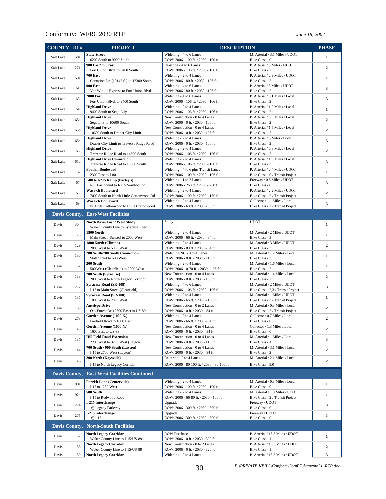| <b>COUNTY ID#</b>                              |                 | <b>PROJECT</b>                                                         | <b>DESCRIPTION</b>                                                           |                                                                    | <b>PHASE</b>                 |  |
|------------------------------------------------|-----------------|------------------------------------------------------------------------|------------------------------------------------------------------------------|--------------------------------------------------------------------|------------------------------|--|
| Salt Lake                                      | 58a             | <b>State Street</b><br>6200 South to 9000 South                        | Widening - 4 to 6 Lanes                                                      | M. Arterial / 3.5 Miles / UDOT                                     | $\mathbf{1}$                 |  |
| Salt Lake                                      | 271             | 900 East/700 East                                                      | ROW: 2006 - 100 ft. / 2030 - 100 ft.<br>Re-stripe - 4 to 6 Lanes             | Bike Class - 0<br>P. Arterial / 3 Miles / UDOT                     | $\overline{2}$               |  |
|                                                |                 | Fort Union Blvd. to 9400 South<br><b>700 East</b>                      | ROW: 2006 - 106 ft. / 2030 - 106 ft.<br>Widening - 2 to 4 Lanes              | Bike Class - 2<br>P. Arterial / 2.9 Miles / UDOT                   |                              |  |
| Salt Lake                                      | 59a             | Carnation Dr. (10142 S.) to 12300 South                                | ROW: 2006 - 80 ft. / 2030 - 106 ft.                                          | Bike Class - 2                                                     | $\mathbf{1}$                 |  |
| Salt Lake                                      | 61              | <b>900 East</b><br>Van Winkle Express to Fort Union Blvd.              | Widening - 4 to 6 Lanes<br>ROW: 2006 - 80 ft. / 2030 - 106 ft.               | P. Arterial / 3 Miles / UDOT<br>Bike Class - 2                     | 3                            |  |
| Salt Lake                                      | 63              | <b>2000 East</b>                                                       | Widening - 4 to 6 Lanes                                                      | P. Arterial / 3.1 Miles / Local                                    | 3                            |  |
| Salt Lake                                      | 64              | Fort Union Blvd. to 9400 South<br><b>Highland Drive</b>                | ROW: 2006 - 106 ft. / 2030 - 106 ft.<br>Widening - 2 to 4 Lanes              | Bike Class - 2<br>P. Arterial / 1.2 Miles / Local                  | $\mathbf{1}$                 |  |
|                                                |                 | 9400 South to Sego Lily<br><b>Highland Drive</b>                       | ROW: 2006 - 106 ft. / 2030 - 106 ft.<br>New Construction - 0 to 4 Lanes      | Bike Class - 2<br>P. Arterial / 0.6 Miles / Local                  |                              |  |
| Salt Lake                                      | 65a             | Sego Lily to 10600 South                                               | ROW: 2006 - 0 ft. / 2030 - 106 ft.                                           | Bike Class - 2                                                     | $\overline{2}$               |  |
| Salt Lake                                      | 65 <sub>b</sub> | <b>Highland Drive</b><br>10600 South to Draper City Limit              | New Construction - 0 to 4 Lanes<br>ROW: 2006 - 0 ft. / 2030 - 106 ft.        | P. Arterial / 1.5 Miles / Local<br>Bike Class - 2                  | $\overline{2}$               |  |
| Salt Lake                                      | 65c             | <b>Highland Drive</b>                                                  | Widening - 2 to 4 Lanes                                                      | P. Arterial / 5 Miles / Local                                      | 3                            |  |
|                                                | 66              | Draper City Limit to Traverse Ridge Road<br><b>Highland Drive</b>      | ROW: 2006 - 0 ft. / 2030 - 106 ft.<br>Widening - 2 to 4 Lanes                | Bike Class - 2<br>P. Arterial / 0.8 Miles / Local                  | $\overline{2}$               |  |
| Salt Lake                                      |                 | Traverse Ridge Road to 14600 South<br><b>Highland Drive Connection</b> | ROW: 2006 - 106 ft. / 2030 - 106 ft.<br>Widening - 2 to 4 Lanes              | Bike Class - 2<br>P. Arterial / 1.8 Miles / Local                  |                              |  |
| Salt Lake                                      | 65d             | Traverse Ridge Road to 13800 South                                     | ROW: 2006 - 106 ft. / 2030 - 106 ft.                                         | Bike Class - 3                                                     | $\overline{\mathbf{3}}$      |  |
| Salt Lake                                      | 102             | <b>Foothill Boulevard</b><br>2300 East to I-80                         | Widening - 4 to 6 plus Transit Lanes<br>ROW: 2006 - 100 ft. / 2030 - 106 ft. | P. Arterial / 2.4 Miles / UDOT<br>Bike Class - 0 / Transit Project | $\mathbf{1}$                 |  |
| Salt Lake                                      | 67              | I-80 to I-215 Ramp (Parley's)                                          | Widening - 1 to 2 Lanes                                                      | Freeway / 0.5 Miles / UDOT                                         | 3                            |  |
|                                                |                 | I-80 Eastbound to I-215 Southbound<br><b>Wasatch Boulevard</b>         | ROW: 2006 - 260 ft. / 2030 - 260 ft.<br>Widening - 2 to 4 Lanes              | Bike Class - 0<br>P. Arterial / 2.2 Miles / UDOT                   |                              |  |
| Salt Lake                                      | 68              | 7000 South to North Little Cottonwood Rd                               | ROW: 2006 - 100 ft. / 2030 - 150 ft.                                         | Bike Class - 2 / Transit Project                                   | $\overline{2}$               |  |
| Salt Lake                                      | 69              | <b>Wasatch Boulevard</b><br>N. Little Cottonwood to Little Cottonwood  | Widening - 2 to 4 Lanes<br>ROW: 2006 - 60 ft. / 2030 - 80 ft.                | Collector / 1.1 Miles / Local<br>Bike Class - 2 / Transit Project  | 3                            |  |
|                                                |                 | Davis County, East-West Facilities                                     |                                                                              |                                                                    |                              |  |
| Davis                                          | 304             | North Davis East / West Study                                          | Study                                                                        | <b>UDOT</b>                                                        | $\mathbf{1}$                 |  |
| Davis                                          | 128             | Weber County Line to Syracuse Road<br>1800 North                       | Widening - 2 to 4 Lanes                                                      | M. Arterial / 2 Miles / UDOT                                       | $\mathbf{1}$                 |  |
|                                                |                 | Main Street (Sunset) to 2000 West<br>1800 North (Clinton)              | ROW: 2006 - 66 ft. / 2030 - 84 ft.<br>Widening - 2 to 4 Lanes                | Bike Class - 3<br>M. Arterial / 3 Miles / UDOT                     |                              |  |
| Davis                                          | 129             | 2000 West to 5000 West                                                 | ROW: 2006 - 80 ft. / 2030 - 84 ft.                                           | Bike Class - 3                                                     | $\overline{2}$               |  |
| Davis                                          | 130             | 200 South/700 South Connection<br>State Street to 500 West             | Widening/NC - 0 to 4 Lanes<br>ROW: 2006 - 0 ft. / 2030 - 110 ft.             | M. Arterial / 1.2 Miles / Local<br>Bike Class - 2,1                | $\mathbf{1}$                 |  |
| Davis                                          | 132             | 200 South                                                              | Widening - 2 to 4 Lanes                                                      | M. Arterial / 1.6 Miles / Local                                    | $\mathbf{1}$                 |  |
| Davis                                          | 133             | 500 West (Clearfield) to 2000 West<br>200 South (Syracuse)             | ROW: 2006 - 0-70 ft. / 2030 - 106 ft.<br>New Construction - 0 to 4 Lanes     | Bike Class - 2<br>M. Arterial / 1.4 Miles / Local                  | $\mathbf{2}$                 |  |
|                                                |                 | 2000 West to North Legacy Corridor<br><b>Syracuse Road (SR-108)</b>    | ROW: 2006 - 0 ft. / 2030 - 106 ft.<br>Widening - 4 to 6 Lanes                | Bike Class - 2<br>M. Arterial / 2 Miles / UDOT                     |                              |  |
| Davis                                          | 272             | I-15 to Main Street (Clearfield)                                       | ROW: 2006 - 106 ft. / 2030 - 106 ft.                                         | Bike Class - 2,3 / Transit Project                                 | 3                            |  |
| Davis                                          | 135             | <b>Syracuse Road (SR-108)</b><br>1000 West to 2000 West                | Widening - 2 to 4 Lanes<br>ROW: 2006 - 66 ft. / 2030 - 106 ft.               | M. Arterial / 1 Miles / UDOT<br>Bike Class - 3 / Transit Project   | $\mathbf{1}$                 |  |
| Davis                                          | 139             | <b>Antelope Drive</b>                                                  | New Construction - 0 to 2 Lanes                                              | M. Arterial / 0.3 Miles / Local                                    | $\overline{2}$               |  |
|                                                |                 | Oak Forest Dr. (2500 East) to US-89<br>Gordon Avenue (1000 N.)         | ROW: 2006 - 0 ft. / 2030 - 84 ft.<br>Widening - 2 to 4 Lanes                 | Bike Class - 2 / Transit Project<br>Collector / 0.7 Miles / Local  |                              |  |
| Davis                                          | 273             | Fairfield Road to 1600 East                                            | ROW: 2006 - 66 ft. / 2030 - 84 ft.                                           | Bike Class - 0<br>Collector / 1.3 Miles / Local                    | $\mathbf{2}$                 |  |
| Davis                                          | 140             | Gordon Avenue (1000 N.)<br>1600 East to US-89                          | New Construction - 0 to 4 Lanes<br>ROW: 2006 - 0 ft. / 2030 - 84 ft.         | Bike Class - 0                                                     | 2                            |  |
| Davis                                          | 137             | <b>Hill Field Road Extension</b><br>2200 West to 3200 West (Layton)    | New Construction - 0 to 4 Lanes<br>ROW: 2006 - 0 ft. / 2030 - 110 ft.        | M. Arterial / 1 Miles / Local<br>Bike Class - 1                    | 3                            |  |
| Davis                                          | 144             | 700 South / 900 South (Layton)                                         | New Construction - 0 to 4 Lanes                                              | M. Arterial / 3.1 Miles / Local                                    | 2                            |  |
|                                                |                 | I-15 to 2700 West (Layton)<br>200 North (Kaysville)                    | ROW: 2006 - 0 ft. / 2030 - 84 ft.<br>Re-stripe - 2 to 4 Lanes                | Bike Class - 2<br>M. Arterial / 2.1 Miles / Local                  |                              |  |
| Davis                                          | 146             | I-15 to North Legacy Corridor                                          | ROW: 2006 - 80-100 ft. / 2030 - 80-100 ft.                                   | Bike Class - 3,0                                                   | 2                            |  |
| Davis County,                                  |                 | <b>East-West Facilities Continued</b>                                  |                                                                              |                                                                    |                              |  |
| Davis                                          | 90a             | <b>Parrish Lane (Centerville)</b>                                      | Widening - 2 to 4 Lanes                                                      | M. Arterial / 0.3 Miles / Local                                    | $\mathbf{1}$                 |  |
|                                                | 92a             | I-15 to 1250 West<br>500 South                                         | ROW: 2006 - 100 ft. / 2030 - 100 ft.<br>Widening - 2 to 4 Lanes              | Bike Class - 0<br>M. Arterial / 1.8 Miles / UDOT                   | $\mathbf{1}$                 |  |
| Davis                                          |                 | I-15 to Redwood Road<br>I-215 Interchange                              | ROW: 2006 - 66-80 ft. / 2030 - 106 ft.<br>Upgrade                            | Bike Class - 2 / Transit Project<br>Freeway / UDOT                 |                              |  |
| Davis                                          | 274             | @ Legacy Parkway                                                       | ROW: 2006 - 300 ft. / 2030 - 300 ft.                                         | Bike Class - 0                                                     | 3                            |  |
| Davis                                          | 275             | I-215 Interchange<br>@ I-15                                            | Upgrade<br>ROW: 2006 - 300 ft. / 2030 - 300 ft.                              | Freeway / UDOT<br>Bike Class - 0                                   | 3                            |  |
| Davis County,<br><b>North-South Facilities</b> |                 |                                                                        |                                                                              |                                                                    |                              |  |
| Davis                                          | 157             | <b>North Legacy Corridor</b>                                           | <b>ROW Purchase</b>                                                          | P. Arterial / 16.3 Miles / UDOT                                    | $\mathbf{1}$                 |  |
|                                                |                 | Weber County Line to I-15/US-89<br><b>North Legacy Corridor</b>        | ROW: 2006 - 0 ft. / 2030 - 320 ft.<br>New Construction - 0 to 2 Lanes        | Bike Class - 1<br>P. Arterial / 16.3 Miles / UDOT                  |                              |  |
| Davis<br>Davis                                 | 158<br>159      | Weber County Line to I-15/US-89                                        | ROW: 2006 - 0 ft. / 2030 - 320 ft.                                           | Bike Class - 1<br>P. Arterial / 16.3 Miles / UDOT                  | 2<br>$\overline{\mathbf{3}}$ |  |
|                                                |                 | <b>North Legacy Corridor</b>                                           | Widening - 2 to 4 Lanes                                                      |                                                                    |                              |  |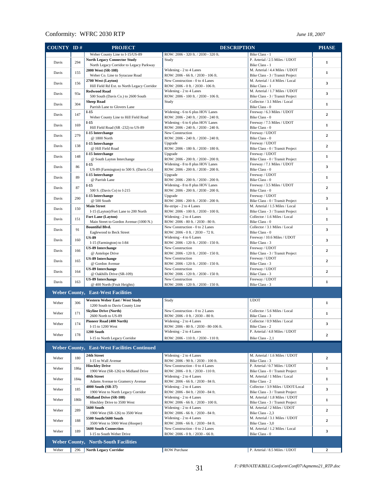| COUNTY ID# |      | <b>PROJECT</b>                                           | <b>DESCRIPTION</b>                                            |                                                    | <b>PHASE</b>   |
|------------|------|----------------------------------------------------------|---------------------------------------------------------------|----------------------------------------------------|----------------|
|            |      | Weber County Line to I-15/US-89                          | ROW: 2006 - 320 ft. / 2030 - 320 ft.                          | Bike Class - 1                                     |                |
|            |      | <b>North Legacy Connector Study</b>                      | Study                                                         | P. Arterial / 2.5 Miles / UDOT                     |                |
| Davis      | 294  | North Legacy Corridor to Legacy Parkway                  |                                                               | Bike Class - 1                                     | 1              |
| Davis      | 155  | 2000 West (SR-108)                                       | Widening - 2 to 4 Lanes                                       | M. Arterial / 4.4 Miles / UDOT                     | $\mathbf{1}$   |
|            |      | Weber Co. Line to Syracuse Road                          | ROW: 2006 - 66 ft. / 2030 - 106 ft.                           | Bike Class - 3 / Transit Project                   |                |
| Davis      | 156  | 2700 West (Layton)                                       | New Construction - 0 to 4 Lanes                               | M. Arterial / 1.4 Miles / Local                    | 3              |
|            |      | Hill Field Rd Ext. to North Legacy Corridor              | ROW: 2006 - 0 ft. / 2030 - 106 ft.                            | Bike Class - 1                                     |                |
| Davis      | 93a  | <b>Redwood Road</b>                                      | Widening - 2 to 4 Lanes                                       | M. Arterial / 1.7 Miles / UDOT                     | 3              |
|            |      | 500 South (Davis Co.) to 2600 South                      | ROW: 2006 - 100 ft. / 2030 - 106 ft.                          | Bike Class - 3 / Transit Project                   |                |
| Davis      | 304  | <b>Sheep Road</b><br>Parrish Lane to Glovers Lane        | Study                                                         | Collector / 3.1 Miles / Local<br>Bike Class - 0    | $\mathbf{1}$   |
|            |      | $I-15$                                                   | Widening - 6 to 6 plus HOV Lanes                              | Freeway / 6.3 Miles / UDOT                         |                |
| Davis      | 147  | Weber County Line to Hill Field Road                     | ROW: 2006 - 240 ft. / 2030 - 240 ft.                          | Bike Class - 0                                     | $\overline{2}$ |
|            |      | $I-15$                                                   | Widening - 6 to 6 plus HOV Lanes                              | Freeway / 7.5 Miles / UDOT                         |                |
| Davis      | 169  | Hill Field Road (SR -232) to US-89                       | ROW: 2006 - 240 ft. / 2030 - 240 ft.                          | Bike Class - 0                                     | 1              |
|            |      | I-15 Interchange                                         | New Construction                                              | Freeway / UDOT                                     |                |
| Davis      | 279  | @ 1800 North                                             | ROW: 2006 - 240 ft. / 2030 - 240 ft.                          | Bike Class - 0                                     | $\mathbf{2}$   |
| Davis      | 138  | I-15 Interchange                                         | Upgrade                                                       | Freeway / UDOT                                     | $\overline{2}$ |
|            |      | @ Hill Field Road                                        | ROW: 2006 - 180 ft. / 2030 - 180 ft.                          | Bike Class - 0 / Transit Project                   |                |
| Davis      | 148  | I-15 Interchange                                         | Upgrade                                                       | Freeway / UDOT                                     | $\mathbf{1}$   |
|            |      | @ South Layton Interchange                               | ROW: 2006 - 200 ft. / 2030 - 200 ft.                          | Bike Class - 0 / Transit Project                   |                |
| Davis      | 86   | $I-15$                                                   | Widening - 8 to 8 plus HOV Lanes                              | Freeway / 7.1 Miles / UDOT                         | 3              |
|            |      | US-89 (Farmington) to 500 S. (Davis Co)                  | ROW: 2006 - 200 ft. / 2030 - 200 ft.                          | Bike Class - 0                                     |                |
| Davis      | 89   | I-15 Interchange                                         | Upgrade                                                       | Freeway / UDOT                                     | $\mathbf{1}$   |
|            |      | @ Parrish Lane                                           | ROW: 2006 - 200 ft. / 2030 - 200 ft.                          | Bike Class - 0                                     |                |
| Davis      | 87   | $I-15$                                                   | Widening - 8 to 8 plus HOV Lanes                              | Freeway / 3.5 Miles / UDOT                         | $\mathbf{2}$   |
|            |      | 500 S. (Davis Co) to I-215                               | ROW: 2006 - 200 ft. / 2030 - 200 ft.                          | Bike Class - 0                                     |                |
| Davis      | 290  | I-15 Interchange<br>@ 500 South                          | Upgrade<br>ROW: 2006 - 200 ft. / 2030 - 200 ft.               | Freeway / UDOT<br>Bike Class - 0 / Transit Project | 3              |
|            |      | <b>Main Street</b>                                       | Re-stripe - 2 to 4 Lanes                                      | M. Arterial / 1.5 Miles / Local                    |                |
| Davis      | 150  | I-15 (Layton)/Fort Lane to 200 North                     | ROW: 2006 - 100 ft. / 2030 - 100 ft.                          | Bike Class - 3 / Transit Project                   | $\mathbf{1}$   |
|            |      | Fort Lane (Layton)                                       | Widening - 2 to 4 Lanes                                       | Collector / 1.6 Miles / Local                      |                |
| Davis      | 151  | Main Street to Gordon Avenue (1000 N.)                   | ROW: 2006 - 80 ft. / 2030 - 80 ft.                            | Bike Class - 0                                     | $\mathbf{1}$   |
|            |      | <b>Bountiful Blvd.</b>                                   | New Construction - 0 to 2 Lanes                               | Collector / 3.1 Miles / Local                      |                |
| Davis      | 91   | Eaglewood to Beck Street                                 | ROW: 2006 - 0 ft. / 2030 - 72 ft.                             | Bike Class - 0                                     | 3              |
|            |      | <b>US-89</b>                                             | Widening - 4 to 6 Lanes                                       | Freeway / 10.6 Miles / UDOT                        |                |
| Davis      | 160  | I-15 (Farmington) to I-84                                | ROW: 2006 - 120 ft. / 2030 - 150 ft.                          | Bike Class - 3                                     | 3              |
|            |      | <b>US-89 Interchange</b>                                 | New Construction                                              | Freeway / UDOT                                     |                |
| Davis      | 166  | @ Antelope Drive                                         | ROW: 2006 - 120 ft. / 2030 - 150 ft.                          | Bike Class - 3 / Transit Project                   | $\overline{2}$ |
| Davis      | 165  | <b>US-89 Interchange</b>                                 | New Construction                                              | Freeway / UDOT                                     | $\overline{2}$ |
|            |      | @ Gordon Avenue                                          | ROW: 2006 - 120 ft. / 2030 - 150 ft.                          | Bike Class - 3                                     |                |
| Davis      | 164  | <b>US-89 Interchange</b>                                 | New Construction                                              | Freeway / UDOT                                     | $\mathbf{2}$   |
|            |      | @ Oakhills Drive (SR-109)                                | ROW: 2006 - 120 ft. / 2030 - 150 ft.                          | Bike Class - 3                                     |                |
| Davis      | 163  | <b>US-89 Interchange</b>                                 | New Construction                                              | Freeway / UDOT                                     | $\mathbf{1}$   |
|            |      | @ 400 North (Fruit Heights)                              | ROW: 2006 - 120 ft. / 2030 - 150 ft.                          | Bike Class - 3                                     |                |
|            |      | <b>Weber County, East-West Facilities</b>                |                                                               |                                                    |                |
|            |      | Western Weber East / West Study                          | Study                                                         | <b>UDOT</b>                                        |                |
| Weber      | 306  | 1200 South to Davis County Line                          |                                                               |                                                    | $\mathbf{1}$   |
|            |      | <b>Skyline Drive (North)</b>                             | New Construction - 0 to 2 Lanes                               | Collector / 5.6 Miles / Local                      |                |
| Weber      | 171  | 2600 North to US-89                                      | ROW: 2006 - 0 ft. / 2030 - 80 ft.                             | Bike Class - 3                                     | 1              |
| Weber      | 174  | Pioneer Road (400 North)                                 | Widening - 2 to 4 Lanes                                       | Collector / 0.9 Miles / Local                      | 3              |
|            |      | 1-15 to 1200 West                                        | ROW: 2006 - 80 ft. / 2030 - 80-106 ft.                        | Bike Class - 2                                     |                |
| Weber      | 178  | 1200 South                                               | Widening - 2 to 4 Lanes                                       | P. Arterial / 4.8 Miles / UDOT                     |                |
|            |      | I-15 to North Legacy Corridor                            | ROW: 2006 - 110 ft. / 2030 - 110 ft.                          | Bike Class - 2,1                                   | 2              |
|            |      |                                                          |                                                               |                                                    |                |
|            |      | <b>Weber County, East-West Facilities Continued</b>      |                                                               |                                                    |                |
| Weber      | 180  | 24th Street                                              | Widening - 2 to 4 Lanes                                       | M. Arterial / 1.6 Miles / UDOT                     | 2              |
|            |      | I-15 to Wall Avenue                                      | ROW: 2006 - 90 ft. / 2030 - 100 ft.                           | Bike Class - 3                                     |                |
| Weber      | 186a | <b>Hinckley Drive</b>                                    | New Construction - 0 to 4 Lanes                               | P. Arterial / 0.7 Miles / UDOT                     | 1              |
|            |      | 1900 West (SR-126) to Midland Drive                      | ROW: 2006 - 0 ft. / 2030 - 110 ft.                            | Bike Class - 0 / Transit Project                   |                |
| Weber      | 184a | 40th Street                                              | Widening - 2 to 4 Lanes                                       | M. Arterial / 1 Miles / Local                      | 1              |
|            |      | Adams Avenue to Gramercy Avenue                          | ROW: 2006 - 66 ft. / 2030 - 84 ft.                            | Bike Class - 2                                     |                |
| Weber      | 185  | 4000 South (SR-37)                                       | Widening - 2 to 4 Lanes                                       | Collector / 3.9 Miles / UDOT/Local                 | 3              |
|            |      | 1900 West to North Legacy Corridor                       | ROW: 2006 - 84 ft. / 2030 - 84 ft.                            | Bike Class - 3 / Transit Project                   |                |
| Weber      | 186b | <b>Midland Drive (SR-108)</b>                            | Widening - 2 to 4 Lanes                                       | M. Arterial / 1.8 Miles / UDOT                     | 1              |
|            |      | Hinckley Drive to 3500 West                              | ROW: 2006 - 66 ft. / 2030 - 100 ft.                           | Bike Class - 3 / Transit Project                   |                |
| Weber      | 289  | 5600 South                                               | Widening - 2 to 4 Lanes                                       | M. Arterial / 2 Miles / UDOT                       | 2              |
|            |      | 1900 West (SR-126) to 3500 West                          | ROW: 2006 - 66 ft. / 2030 - 84 ft.                            | Bike Class - 2,3<br>M. Arterial / 3.1 Miles / UDOT |                |
| Weber      | 188  | 5500 South/5600 South<br>3500 West to 5900 West (Hooper) | Widening - 2 to 4 Lanes<br>ROW: 2006 - 66 ft. / 2030 - 84 ft. | Bike Class - 3,0                                   | 2              |
|            |      | 5600 South Connection                                    | New Construction - 0 to 2 Lanes                               | M. Arterial / 1.2 Miles / Local                    |                |
| Weber      | 189  | I-15 to South Weber Drive                                | ROW: 2006 - 0 ft. / 2030 - 66 ft.                             | Bike Class - 0                                     | 3              |
|            |      |                                                          |                                                               |                                                    |                |
|            |      | <b>Weber County, North-South Facilities</b>              |                                                               |                                                    |                |
| Weber      | 296  | <b>North Legacy Corridor</b>                             | <b>ROW Purchase</b>                                           | P. Arterial / 8.5 Miles / UDOT                     | 2              |
|            |      |                                                          |                                                               |                                                    |                |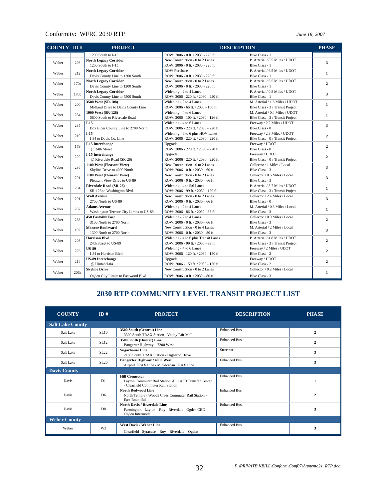| <b>COUNTY ID#</b> |                                                                                                                                                    | <b>PROJECT</b>                          | <b>DESCRIPTION</b>                   | <b>PHASE</b>                                                                                                                                                                                                                                                                                                                                                                                                                                                                                                                                                                                                                                                            |                         |  |  |  |                   |                         |  |                |
|-------------------|----------------------------------------------------------------------------------------------------------------------------------------------------|-----------------------------------------|--------------------------------------|-------------------------------------------------------------------------------------------------------------------------------------------------------------------------------------------------------------------------------------------------------------------------------------------------------------------------------------------------------------------------------------------------------------------------------------------------------------------------------------------------------------------------------------------------------------------------------------------------------------------------------------------------------------------------|-------------------------|--|--|--|-------------------|-------------------------|--|----------------|
|                   |                                                                                                                                                    | 1200 South to I-15                      | ROW: 2006 - 0 ft. / 2030 - 220 ft.   | Bike Class - 1                                                                                                                                                                                                                                                                                                                                                                                                                                                                                                                                                                                                                                                          |                         |  |  |  |                   |                         |  |                |
| Weber             |                                                                                                                                                    | <b>North Legacy Corridor</b>            | New Construction - 0 to 2 Lanes      | P. Arterial / 8.5 Miles / UDOT                                                                                                                                                                                                                                                                                                                                                                                                                                                                                                                                                                                                                                          |                         |  |  |  |                   |                         |  |                |
|                   | 298<br>212<br>170a<br>170b<br>200<br>284<br>285<br>210<br>179<br>229<br>286<br>291<br>204<br>201<br>287<br>288<br>192<br>203<br>226<br>214<br>206a | 1200 South to I-15                      | ROW: 2006 - 0 ft. / 2030 - 220 ft.   | Bike Class - 1                                                                                                                                                                                                                                                                                                                                                                                                                                                                                                                                                                                                                                                          | 3                       |  |  |  |                   |                         |  |                |
|                   |                                                                                                                                                    | <b>North Legacy Corridor</b>            | <b>ROW Purchase</b>                  | P. Arterial / 6.5 Miles / UDOT                                                                                                                                                                                                                                                                                                                                                                                                                                                                                                                                                                                                                                          |                         |  |  |  |                   |                         |  |                |
| Weber             |                                                                                                                                                    | Davis County Line to 1200 South         | ROW: 2006 - 0 ft. / 2030 - 220 ft.   | Bike Class - 1                                                                                                                                                                                                                                                                                                                                                                                                                                                                                                                                                                                                                                                          | $\mathbf{1}$            |  |  |  |                   |                         |  |                |
| Weber             |                                                                                                                                                    | <b>North Legacy Corridor</b>            | New Construction - 0 to 2 Lanes      | P. Arterial / 6.5 Miles / UDOT                                                                                                                                                                                                                                                                                                                                                                                                                                                                                                                                                                                                                                          | $\overline{2}$          |  |  |  |                   |                         |  |                |
|                   |                                                                                                                                                    | Davis County Line to 1200 South         | ROW: 2006 - 0 ft. / 2030 - 220 ft.   | Bike Class - 1                                                                                                                                                                                                                                                                                                                                                                                                                                                                                                                                                                                                                                                          |                         |  |  |  |                   |                         |  |                |
| Weber             |                                                                                                                                                    | <b>North Legacy Corridor</b>            | Widening - 2 to 4 Lanes              | P. Arterial / 0.8 Miles / UDOT                                                                                                                                                                                                                                                                                                                                                                                                                                                                                                                                                                                                                                          | 3                       |  |  |  |                   |                         |  |                |
|                   |                                                                                                                                                    | Davis County Line to 5500 South         | ROW: 2006 - 220 ft. / 2030 - 220 ft. | Bike Class - 1                                                                                                                                                                                                                                                                                                                                                                                                                                                                                                                                                                                                                                                          |                         |  |  |  |                   |                         |  |                |
| Weber             |                                                                                                                                                    | 3500 West (SR-108)                      | Widening - 2 to 4 Lanes              | M. Arterial / 1.6 Miles / UDOT                                                                                                                                                                                                                                                                                                                                                                                                                                                                                                                                                                                                                                          |                         |  |  |  |                   |                         |  |                |
|                   |                                                                                                                                                    | Midland Drive to Davis County Line      | ROW: 2006 - 66 ft. / 2030 - 100 ft.  | Bike Class - 3 / Transit Project                                                                                                                                                                                                                                                                                                                                                                                                                                                                                                                                                                                                                                        | $\mathbf{1}$            |  |  |  |                   |                         |  |                |
|                   |                                                                                                                                                    | 1900 West (SR-126)                      | Widening - 4 to 6 Lanes              | M. Arterial / 0.4 Miles / UDOT                                                                                                                                                                                                                                                                                                                                                                                                                                                                                                                                                                                                                                          |                         |  |  |  |                   |                         |  |                |
| Weber             |                                                                                                                                                    | 5600 South to Riverdale Road            | ROW: 2006 - 100 ft. / 2030 - 126 ft. | Bike Class - 3 / Transit Project                                                                                                                                                                                                                                                                                                                                                                                                                                                                                                                                                                                                                                        | $\mathbf{1}$            |  |  |  |                   |                         |  |                |
|                   |                                                                                                                                                    | $I-15$                                  | Widening - 4 to 6 Lanes              | Freeway / 2.2 Miles / UDOT                                                                                                                                                                                                                                                                                                                                                                                                                                                                                                                                                                                                                                              |                         |  |  |  |                   |                         |  |                |
| Weber             |                                                                                                                                                    | Box Elder County Line to 2700 North     | ROW: 2006 - 220 ft. / 2030 - 220 ft. | Bike Class - 0                                                                                                                                                                                                                                                                                                                                                                                                                                                                                                                                                                                                                                                          | 3                       |  |  |  |                   |                         |  |                |
|                   |                                                                                                                                                    | $I-15$                                  | Widening - 6 to 6 plus HOV Lanes     | Freeway / 2.8 Miles / UDOT                                                                                                                                                                                                                                                                                                                                                                                                                                                                                                                                                                                                                                              |                         |  |  |  |                   |                         |  |                |
| Weber             |                                                                                                                                                    | I-84 to Davis Co. Line                  | ROW: 2006 - 220 ft. / 2030 - 220 ft. | Bike Class - 0 / Transit Project                                                                                                                                                                                                                                                                                                                                                                                                                                                                                                                                                                                                                                        | $\mathbf{2}$            |  |  |  |                   |                         |  |                |
|                   |                                                                                                                                                    | I-15 Interchange                        | Upgrade                              | Freeway / UDOT                                                                                                                                                                                                                                                                                                                                                                                                                                                                                                                                                                                                                                                          |                         |  |  |  |                   |                         |  |                |
| Weber             |                                                                                                                                                    | @ 24th Street                           | ROW: 2006 - 220 ft. / 2030 - 220 ft. | Bike Class - 0<br>Freeway / UDOT<br>Bike Class - 0 / Transit Project<br>Collector / 1 Miles / Local<br>Bike Class - 3<br>Collector / 0.6 Miles / Local<br>Bike Class - 3<br>P. Arterial / 3.7 Miles / UDOT<br>Bike Class - 3 / Transit Project<br>Collector / 2.4 Miles / Local<br>Bike Class - 0<br>M. Arterial / 0.6 Miles / Local<br>Bike Class - 3<br>Collector / 0.9 Miles / Local<br>Bike Class - 3<br>M. Arterial / 2 Miles / Local<br>Bike Class - 3<br>P. Arterial / 4.8 Miles / UDOT<br>Bike Class - 3 / Transit Project<br>Freeway / 2 Miles / UDOT<br>Bike Class - 2<br>Freeway / UDOT<br>Bike Class - 2<br>Collector / 0.2 Miles / Local<br>Bike Class - 3 | $\overline{2}$          |  |  |  |                   |                         |  |                |
|                   |                                                                                                                                                    | I-15 Interchange                        | Upgrade                              |                                                                                                                                                                                                                                                                                                                                                                                                                                                                                                                                                                                                                                                                         |                         |  |  |  |                   |                         |  |                |
| Weber             |                                                                                                                                                    | @ Riverdale Road (SR-26)                | ROW: 2006 - 220 ft. / 2030 - 220 ft. |                                                                                                                                                                                                                                                                                                                                                                                                                                                                                                                                                                                                                                                                         | $\mathbf{2}$            |  |  |  |                   |                         |  |                |
| Weber             |                                                                                                                                                    | 1100 West (Pleasant View)               | New Construction - 0 to 2 Lanes      |                                                                                                                                                                                                                                                                                                                                                                                                                                                                                                                                                                                                                                                                         | $\overline{\mathbf{3}}$ |  |  |  |                   |                         |  |                |
|                   |                                                                                                                                                    | Skyline Drive to 4000 North             | ROW: 2006 - 0 ft. / 2030 - 60 ft.    |                                                                                                                                                                                                                                                                                                                                                                                                                                                                                                                                                                                                                                                                         |                         |  |  |  |                   |                         |  |                |
| Weber             |                                                                                                                                                    | 1100 West (Pleasant View)               | New Construction - 0 to 2 Lanes      |                                                                                                                                                                                                                                                                                                                                                                                                                                                                                                                                                                                                                                                                         | 3                       |  |  |  |                   |                         |  |                |
|                   |                                                                                                                                                    | Pleasant View Drive to US-89            | ROW: 2006 - 0 ft. / 2030 - 66 ft.    |                                                                                                                                                                                                                                                                                                                                                                                                                                                                                                                                                                                                                                                                         |                         |  |  |  |                   |                         |  |                |
|                   |                                                                                                                                                    | <b>Riverdale Road (SR-26)</b>           | Widening - 4 to 5/6 Lanes            |                                                                                                                                                                                                                                                                                                                                                                                                                                                                                                                                                                                                                                                                         | $\mathbf{1}$            |  |  |  |                   |                         |  |                |
| Weber             |                                                                                                                                                    | SR-126 to Washington Blvd.              | ROW: 2006 - 99 ft. / 2030 - 120 ft.  |                                                                                                                                                                                                                                                                                                                                                                                                                                                                                                                                                                                                                                                                         |                         |  |  |  |                   |                         |  |                |
| Weber             |                                                                                                                                                    | <b>Wall Avenue</b>                      | New Construction - 0 to 2 Lanes      |                                                                                                                                                                                                                                                                                                                                                                                                                                                                                                                                                                                                                                                                         | $\overline{\mathbf{3}}$ |  |  |  |                   |                         |  |                |
|                   |                                                                                                                                                    | 2700 North to US-89                     | ROW: 2006 - 0 ft. / 2030 - 66 ft.    |                                                                                                                                                                                                                                                                                                                                                                                                                                                                                                                                                                                                                                                                         |                         |  |  |  |                   |                         |  |                |
| Weber             |                                                                                                                                                    | <b>Adams Avenue</b>                     | Widening - 2 to 4 Lanes              |                                                                                                                                                                                                                                                                                                                                                                                                                                                                                                                                                                                                                                                                         | $\mathbf{1}$            |  |  |  |                   |                         |  |                |
|                   |                                                                                                                                                    | Washington Terrace City Limits to US-89 | ROW: 2006 - 86 ft. / 2030 - 86 ft.   |                                                                                                                                                                                                                                                                                                                                                                                                                                                                                                                                                                                                                                                                         |                         |  |  |  |                   |                         |  |                |
| Weber             |                                                                                                                                                    |                                         |                                      |                                                                                                                                                                                                                                                                                                                                                                                                                                                                                                                                                                                                                                                                         |                         |  |  |  | 450 East/400 East | Widening - 2 to 4 Lanes |  | $\overline{2}$ |
|                   |                                                                                                                                                    |                                         | 3100 North to 2700 North             | ROW: $2006 - 0$ ft. $/ 2030 - 66$ ft.                                                                                                                                                                                                                                                                                                                                                                                                                                                                                                                                                                                                                                   |                         |  |  |  |                   |                         |  |                |
| Weber             |                                                                                                                                                    | <b>Monroe Boulevard</b>                 | New Construction - 0 to 4 Lanes      |                                                                                                                                                                                                                                                                                                                                                                                                                                                                                                                                                                                                                                                                         | $\overline{\mathbf{3}}$ |  |  |  |                   |                         |  |                |
|                   |                                                                                                                                                    |                                         | 1300 North to 2700 North             | ROW: 2006 - 0 ft. / 2030 - 80 ft.                                                                                                                                                                                                                                                                                                                                                                                                                                                                                                                                                                                                                                       |                         |  |  |  |                   |                         |  |                |
| Weber             |                                                                                                                                                    | <b>Harrison Blvd.</b>                   | Widening - 4 to 6 plus Transit Lanes |                                                                                                                                                                                                                                                                                                                                                                                                                                                                                                                                                                                                                                                                         | $\mathbf{2}$            |  |  |  |                   |                         |  |                |
|                   |                                                                                                                                                    | 24th Street to US-89                    | ROW: 2006 - 99 ft. / 2030 - 99 ft.   |                                                                                                                                                                                                                                                                                                                                                                                                                                                                                                                                                                                                                                                                         |                         |  |  |  |                   |                         |  |                |
| Weber             |                                                                                                                                                    | <b>US-89</b>                            | Widening - 4 to 6 Lanes              |                                                                                                                                                                                                                                                                                                                                                                                                                                                                                                                                                                                                                                                                         | $\mathbf{2}$            |  |  |  |                   |                         |  |                |
|                   |                                                                                                                                                    | I-84 to Harrison Blvd.                  | ROW: 2006 - 120 ft. / 2030 - 150 ft. |                                                                                                                                                                                                                                                                                                                                                                                                                                                                                                                                                                                                                                                                         |                         |  |  |  |                   |                         |  |                |
| Weber             |                                                                                                                                                    | <b>US-89 Interchange</b>                | Upgrade                              |                                                                                                                                                                                                                                                                                                                                                                                                                                                                                                                                                                                                                                                                         | $\overline{2}$          |  |  |  |                   |                         |  |                |
|                   |                                                                                                                                                    | @ Uintah/I-84                           | ROW: 2006 - 150 ft. / 2030 - 150 ft. |                                                                                                                                                                                                                                                                                                                                                                                                                                                                                                                                                                                                                                                                         |                         |  |  |  |                   |                         |  |                |
| Weber             |                                                                                                                                                    | <b>Skyline Drive</b>                    | New Construction - 0 to 2 Lanes      |                                                                                                                                                                                                                                                                                                                                                                                                                                                                                                                                                                                                                                                                         | $\mathbf{1}$            |  |  |  |                   |                         |  |                |
|                   |                                                                                                                                                    | Ogden City Limits to Eastwood Blvd.     | ROW: 2006 - 0 ft. / 2030 - 80 ft.    |                                                                                                                                                                                                                                                                                                                                                                                                                                                                                                                                                                                                                                                                         |                         |  |  |  |                   |                         |  |                |

### **2030 RTP COMMUNITY LEVEL TRANSIT PROJECT LIST**

| <b>COUNTY</b>           | ID#            | <b>PROJECT</b>                                                                                                        | <b>DESCRIPTION</b>  | <b>PHASE</b>   |
|-------------------------|----------------|-----------------------------------------------------------------------------------------------------------------------|---------------------|----------------|
| <b>Salt Lake County</b> |                |                                                                                                                       |                     |                |
| Salt Lake               | SL10           | 3500 South (Central) Line<br>3300 South TRAX Station - Valley Fair Mall                                               | <b>Enhanced Bus</b> | $\overline{2}$ |
| Salt Lake               | SL12           | 3500 South (Hunter) Line<br>Bangerter Highway - 7200 West                                                             | <b>Enhanced Bus</b> | $\mathbf{2}$   |
| Salt Lake               | SL22           | <b>Sugarhouse Line</b><br>2100 South TRAX Station - Highland Drive                                                    | Streetcar           | 3              |
| Salt Lake               | <b>SL20</b>    | <b>Bangerter Highway / 4000 West</b><br>Airport TRAX Line - Mid-Jordan TRAX Line                                      | <b>Enhanced Bus</b> | 3              |
| <b>Davis County</b>     |                |                                                                                                                       |                     |                |
| Davis                   | D1             | <b>Hill Connector</b><br>Layton Commuter Rail Station -Hill AFB Transfer Center<br>- Clearfield Commuter Rail Station | <b>Enhanced Bus</b> |                |
| Davis                   | D <sub>6</sub> | <b>North Redwood Line</b><br>North Temple - Woods Cross Commuter Rail Station -<br><b>East Bountiful</b>              | <b>Enhanced Bus</b> | $\mathbf{2}$   |
| Davis                   | D <sub>8</sub> | <b>North Davis / Riverdale Line</b><br>Farmington - Layton - Roy - Riverdale - Ogden CBD -<br>Ogden Intermodal        | <b>Enhanced Bus</b> | 3              |
| <b>Weber County</b>     |                |                                                                                                                       |                     |                |
| Weber                   | W <sub>3</sub> | <b>West Davis / Weber Line</b><br>Clearfield - Syracuse - Roy - Riverdale - Ogden                                     | <b>Enhanced Bus</b> | 3              |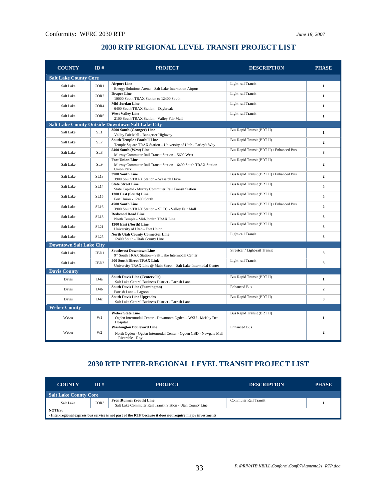### **2030 RTP REGIONAL LEVEL TRANSIT PROJECT LIST**

| <b>COUNTY</b>                | ID#                            | <b>PROJECT</b>                                                                                                            | <b>DESCRIPTION</b>                        | <b>PHASE</b>            |  |
|------------------------------|--------------------------------|---------------------------------------------------------------------------------------------------------------------------|-------------------------------------------|-------------------------|--|
| <b>Salt Lake County Core</b> |                                |                                                                                                                           |                                           |                         |  |
| Salt Lake                    | COR1                           | <b>Airport Line</b><br>Energy Solutions Arena - Salt Lake Internation Airport                                             | Light-rail Transit                        | $\mathbf{1}$            |  |
| Salt Lake                    | COR <sub>2</sub>               | <b>Draper Line</b><br>10000 South TRAX Station to 12400 South                                                             | Light-rail Transit                        | $\mathbf{1}$            |  |
| Salt Lake                    | COR4                           | Mid-Jordan Line<br>6400 South TRAX Station - Daybreak                                                                     | Light-rail Transit                        | $\mathbf{1}$            |  |
| Salt Lake                    | COR5                           | <b>West Valley Line</b><br>2100 South TRAX Station - Valley Fair Mall                                                     | Light-rail Transit                        | $\mathbf{1}$            |  |
|                              |                                | <b>Salt Lake County Outside Downtown Salt Lake City</b>                                                                   |                                           |                         |  |
| Salt Lake                    | SL1                            | 3500 South (Granger) Line<br>Valley Fair Mall - Bangerter Highway                                                         | <b>Bus Rapid Transit (BRT II)</b>         | $\mathbf{1}$            |  |
| Salt Lake                    | SL7                            | <b>South Temple / Foothill Line</b><br>Temple Square TRAX Station - University of Utah - Parley's Way                     | Bus Rapid Transit (BRT II)                | $\mathbf{2}$            |  |
| Salt Lake                    | SL <sub>8</sub>                | 5400 South (West) Line<br>Murray Commuter Rail Transit Station - 5600 West                                                | Bus Rapid Transit (BRT II) / Enhanced Bus | $\overline{\mathbf{3}}$ |  |
| Salt Lake                    | SL9                            | <b>Fort Union Line</b><br>Murray Commuter Rail Transit Station - 6400 South TRAX Station -<br><b>Union Park</b>           | Bus Rapid Transit (BRT II)                | $\overline{2}$          |  |
| Salt Lake                    | SL13                           | 3900 South Line<br>3900 South TRAX Station - Wasatch Drive                                                                | Bus Rapid Transit (BRT II) / Enhanced Bus | $\overline{2}$          |  |
| Salt Lake                    | <b>SL14</b>                    | <b>State Street Line</b><br>State Capitol - Murray Commuter Rail Transit Station                                          | Bus Rapid Transit (BRT II)                | $\mathbf{2}$            |  |
| Salt Lake                    | <b>SL15</b>                    | 1300 East (South) Line<br>Fort Union - 12400 South                                                                        | Bus Rapid Transit (BRT II)                | $\overline{2}$          |  |
| Salt Lake                    | SL16                           | 4700 South Line<br>3900 South TRAX Station - SLCC - Valley Fair Mall                                                      | Bus Rapid Transit (BRT II) / Enhanced Bus | $\mathbf{2}$            |  |
| Salt Lake                    | <b>SL18</b>                    | <b>Redwood Road Line</b><br>North Temple - Mid-Jordan TRAX Line                                                           | Bus Rapid Transit (BRT II)                | 3                       |  |
| Salt Lake                    | SL21                           | 1300 East (North) Line<br>University of Utah - Fort Union                                                                 | Bus Rapid Transit (BRT II)                | $\mathbf{3}$            |  |
| Salt Lake                    | SL25                           | <b>North Utah County Connector Line</b><br>12400 South - Utah County Line                                                 | Light-rail Transit                        | $\overline{\mathbf{3}}$ |  |
|                              | <b>Downtown Salt Lake City</b> |                                                                                                                           |                                           |                         |  |
| Salt Lake                    | CB <sub>D1</sub>               | <b>Southwest Downtown Line</b><br>9th South TRAX Station - Salt Lake Intermodal Center                                    | Streetcar / Light-rail Transit            | 3                       |  |
| Salt Lake                    | CB <sub>D2</sub>               | <b>400 South Direct TRAX Link</b><br>University TRAX Line @ Main Street - Salt Lake Intermodal Center                     | Light-rail Transit                        | $\overline{\mathbf{3}}$ |  |
| <b>Davis County</b>          |                                |                                                                                                                           |                                           |                         |  |
| Davis                        | D <sub>4</sub> a               | <b>South Davis Line (Centerville)</b><br>Salt Lake Central Business District - Parrish Lane                               | Bus Rapid Transit (BRT II)                | $\mathbf{1}$            |  |
| Davis                        | D <sub>4</sub> b               | <b>South Davis Line (Farmington)</b><br>Parrish Lane - Lagoon                                                             | <b>Enhanced Bus</b>                       | $\overline{2}$          |  |
| Davis                        | D4c                            | <b>South Davis Line Upgrades</b><br>Salt Lake Central Business District - Parrish Lane                                    | Bus Rapid Transit (BRT II)                | 3                       |  |
| <b>Weber County</b>          |                                |                                                                                                                           |                                           |                         |  |
| Weber                        | W1                             | <b>Weber State Line</b><br>Ogden Intermodal Center - Downtown Ogden - WSU - McKay Dee<br>Hospital                         | Bus Rapid Transit (BRT II)                | $\mathbf{1}$            |  |
| Weber                        | W <sub>2</sub>                 | <b>Washington Boulevard Line</b><br>North Ogden - Ogden Intermodal Center - Ogden CBD - Newgate Mall<br>- Riverdale - Roy | <b>Enhanced Bus</b>                       | $\overline{2}$          |  |

### **2030 RTP INTER-REGIONAL LEVEL TRANSIT PROJECT LIST**

| <b>COUNTY</b>                                                                                             | ID#  | <b>PROJECT</b>                                                                                | <b>DESCRIPTION</b>    | <b>PHASE</b> |
|-----------------------------------------------------------------------------------------------------------|------|-----------------------------------------------------------------------------------------------|-----------------------|--------------|
| <b>Salt Lake County Core</b>                                                                              |      |                                                                                               |                       |              |
| Salt Lake                                                                                                 | COR3 | <b>FrontRunner (South) Line</b><br>Salt Lake Commuter Rail Transit Station - Utah County Line | Commuter Rail Transit |              |
| <b>NOTES:</b>                                                                                             |      |                                                                                               |                       |              |
| - Inter-regional express bus service is not part of the RTP because it does not require major investments |      |                                                                                               |                       |              |